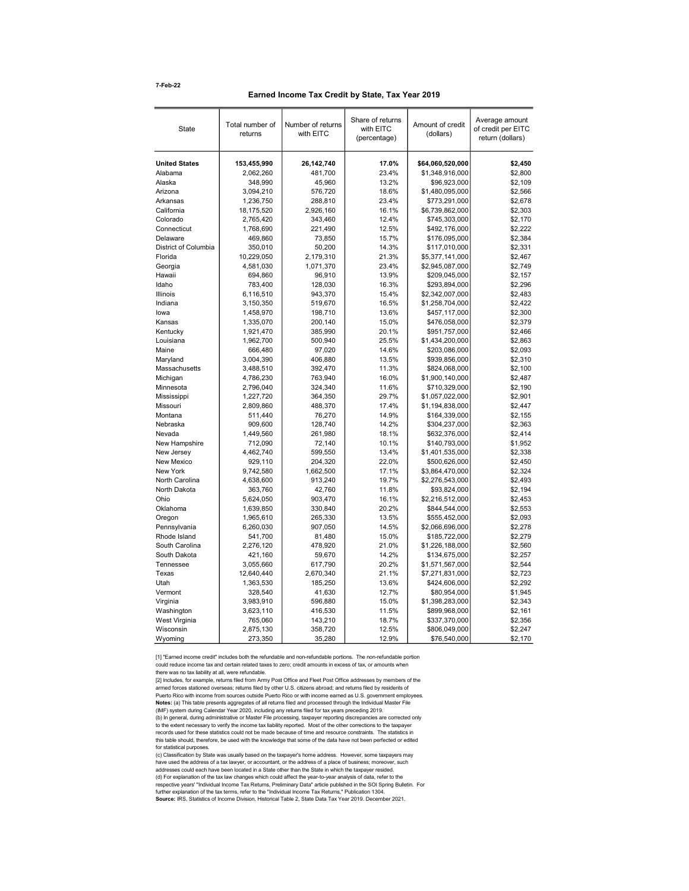# 7-Feb-22

## Earned Income Tax Credit by State, Tax Year 2019

| <b>United States</b><br>17.0%<br>\$64,060,520,000<br>153,455,990<br>26,142,740<br>Alabama<br>481,700<br>23.4%<br>\$1,348,916,000<br>2,062,260<br>Alaska<br>348,990<br>45,960<br>13.2%<br>\$96,923,000<br>Arizona<br>3,094,210<br>576,720<br>18.6%<br>\$1,480,095,000<br>Arkansas<br>1,236,750<br>288,810<br>23.4%<br>\$773,291,000<br>California<br>2,926,160<br>16.1%<br>\$6,739,862,000<br>18,175,520<br>Colorado<br>12.4%<br>\$745,303,000<br>2,765,420<br>343,460 | \$2,450<br>\$2,800<br>\$2,109<br>\$2,566<br>\$2,678<br>\$2,303<br>\$2,170<br>\$2,222<br>\$2,384<br>\$2,331<br>\$2,467<br>\$2,749<br>\$2,157 |
|-----------------------------------------------------------------------------------------------------------------------------------------------------------------------------------------------------------------------------------------------------------------------------------------------------------------------------------------------------------------------------------------------------------------------------------------------------------------------|---------------------------------------------------------------------------------------------------------------------------------------------|
|                                                                                                                                                                                                                                                                                                                                                                                                                                                                       |                                                                                                                                             |
|                                                                                                                                                                                                                                                                                                                                                                                                                                                                       |                                                                                                                                             |
|                                                                                                                                                                                                                                                                                                                                                                                                                                                                       |                                                                                                                                             |
|                                                                                                                                                                                                                                                                                                                                                                                                                                                                       |                                                                                                                                             |
|                                                                                                                                                                                                                                                                                                                                                                                                                                                                       |                                                                                                                                             |
|                                                                                                                                                                                                                                                                                                                                                                                                                                                                       |                                                                                                                                             |
|                                                                                                                                                                                                                                                                                                                                                                                                                                                                       |                                                                                                                                             |
| Connecticut<br>1,768,690<br>221,490<br>12.5%<br>\$492,176,000                                                                                                                                                                                                                                                                                                                                                                                                         |                                                                                                                                             |
| Delaware<br>469,860<br>73,850<br>15.7%<br>\$176,095,000                                                                                                                                                                                                                                                                                                                                                                                                               |                                                                                                                                             |
| District of Columbia<br>14.3%<br>350,010<br>50,200<br>\$117,010,000                                                                                                                                                                                                                                                                                                                                                                                                   |                                                                                                                                             |
| Florida<br>10,229,050<br>2,179,310<br>21.3%<br>\$5,377,141,000                                                                                                                                                                                                                                                                                                                                                                                                        |                                                                                                                                             |
| 23.4%<br>Georgia<br>4,581,030<br>1,071,370<br>\$2,945,087,000                                                                                                                                                                                                                                                                                                                                                                                                         |                                                                                                                                             |
| 13.9%<br>Hawaii<br>694,860<br>96,910<br>\$209,045,000                                                                                                                                                                                                                                                                                                                                                                                                                 |                                                                                                                                             |
| 16.3%<br>\$293,894,000<br>Idaho<br>783,400<br>128,030                                                                                                                                                                                                                                                                                                                                                                                                                 | \$2,296                                                                                                                                     |
| Illinois<br>6,116,510<br>943,370<br>15.4%<br>\$2,342,007,000                                                                                                                                                                                                                                                                                                                                                                                                          | \$2,483                                                                                                                                     |
| Indiana<br>3,150,350<br>519,670<br>16.5%<br>\$1,258,704,000                                                                                                                                                                                                                                                                                                                                                                                                           | \$2,422                                                                                                                                     |
| 13.6%<br>lowa<br>1,458,970<br>198,710<br>\$457,117,000                                                                                                                                                                                                                                                                                                                                                                                                                | \$2,300                                                                                                                                     |
| 200,140<br>15.0%<br>\$476,058,000<br>Kansas<br>1,335,070                                                                                                                                                                                                                                                                                                                                                                                                              | \$2,379                                                                                                                                     |
| Kentucky<br>385,990<br>20.1%<br>\$951,757,000<br>1,921,470                                                                                                                                                                                                                                                                                                                                                                                                            | \$2,466                                                                                                                                     |
| Louisiana<br>1,962,700<br>500,940<br>25.5%<br>\$1,434,200,000                                                                                                                                                                                                                                                                                                                                                                                                         | \$2,863                                                                                                                                     |
| Maine<br>666,480<br>97,020<br>14.6%<br>\$203,086,000                                                                                                                                                                                                                                                                                                                                                                                                                  | \$2,093                                                                                                                                     |
| 13.5%<br>Maryland<br>3,004,390<br>406,880<br>\$939,856,000                                                                                                                                                                                                                                                                                                                                                                                                            | \$2,310                                                                                                                                     |
| Massachusetts<br>3,488,510<br>392,470<br>11.3%<br>\$824,068,000                                                                                                                                                                                                                                                                                                                                                                                                       | \$2,100                                                                                                                                     |
| 16.0%<br>\$1,900,140,000<br>Michigan<br>4,786,230<br>763,940                                                                                                                                                                                                                                                                                                                                                                                                          | \$2,487                                                                                                                                     |
| 11.6%<br>\$710,329,000<br>Minnesota<br>2,796,040<br>324,340                                                                                                                                                                                                                                                                                                                                                                                                           | \$2,190                                                                                                                                     |
| 364,350<br>29.7%<br>\$1,057,022,000<br>Mississippi<br>1,227,720                                                                                                                                                                                                                                                                                                                                                                                                       | \$2,901                                                                                                                                     |
| Missouri<br>2,809,860<br>488,370<br>17.4%<br>\$1,194,838,000                                                                                                                                                                                                                                                                                                                                                                                                          | \$2,447                                                                                                                                     |
| Montana<br>511,440<br>76,270<br>14.9%<br>\$164,339,000                                                                                                                                                                                                                                                                                                                                                                                                                | \$2,155                                                                                                                                     |
| 14.2%<br>Nebraska<br>909,600<br>128,740<br>\$304,237,000                                                                                                                                                                                                                                                                                                                                                                                                              | \$2,363                                                                                                                                     |
| 1,449,560<br>261,980<br>18.1%<br>\$632,376,000<br>Nevada                                                                                                                                                                                                                                                                                                                                                                                                              | \$2,414                                                                                                                                     |
| 10.1%<br>New Hampshire<br>712,090<br>72,140<br>\$140,793,000                                                                                                                                                                                                                                                                                                                                                                                                          | \$1,952                                                                                                                                     |
| 4,462,740<br>13.4%<br>New Jersey<br>599,550<br>\$1,401,535,000                                                                                                                                                                                                                                                                                                                                                                                                        | \$2,338                                                                                                                                     |
| 22.0%<br>\$500,626,000<br>New Mexico<br>929,110<br>204,320                                                                                                                                                                                                                                                                                                                                                                                                            | \$2,450                                                                                                                                     |
| New York<br>9,742,580<br>1,662,500<br>17.1%<br>\$3,864,470,000                                                                                                                                                                                                                                                                                                                                                                                                        | \$2,324                                                                                                                                     |
| North Carolina<br>4,638,600<br>913,240<br>19.7%<br>\$2,276,543,000                                                                                                                                                                                                                                                                                                                                                                                                    | \$2,493                                                                                                                                     |
| North Dakota<br>11.8%<br>363,760<br>42,760<br>\$93,824,000                                                                                                                                                                                                                                                                                                                                                                                                            | \$2,194                                                                                                                                     |
| Ohio<br>5,624,050<br>903,470<br>16.1%<br>\$2,216,512,000                                                                                                                                                                                                                                                                                                                                                                                                              | \$2,453                                                                                                                                     |
| Oklahoma<br>330,840<br>20.2%<br>\$844,544,000<br>1,639,850                                                                                                                                                                                                                                                                                                                                                                                                            | \$2,553                                                                                                                                     |
| Oregon<br>1,965,610<br>265,330<br>13.5%<br>\$555,452,000                                                                                                                                                                                                                                                                                                                                                                                                              | \$2,093                                                                                                                                     |
| Pennsylvania<br>6,260,030<br>907,050<br>14.5%<br>\$2,066,696,000                                                                                                                                                                                                                                                                                                                                                                                                      | \$2,278                                                                                                                                     |
| Rhode Island<br>15.0%<br>541,700<br>81,480<br>\$185,722,000                                                                                                                                                                                                                                                                                                                                                                                                           | \$2,279                                                                                                                                     |
| South Carolina<br>2,276,120<br>478,920<br>21.0%<br>\$1,226,188,000                                                                                                                                                                                                                                                                                                                                                                                                    | \$2,560                                                                                                                                     |
| South Dakota<br>14.2%<br>\$134,675,000<br>421,160<br>59,670                                                                                                                                                                                                                                                                                                                                                                                                           | \$2,257                                                                                                                                     |
| Tennessee<br>617,790<br>20.2%<br>\$1,571,567,000<br>3,055,660                                                                                                                                                                                                                                                                                                                                                                                                         | \$2,544                                                                                                                                     |
| Texas<br>12,640,440<br>2,670,340<br>21.1%<br>\$7,271,831,000                                                                                                                                                                                                                                                                                                                                                                                                          | \$2,723                                                                                                                                     |
| Utah<br>1,363,530<br>13.6%<br>\$424,606,000<br>185,250                                                                                                                                                                                                                                                                                                                                                                                                                | \$2,292                                                                                                                                     |
| Vermont<br>328,540<br>41,630<br>12.7%<br>\$80,954,000                                                                                                                                                                                                                                                                                                                                                                                                                 | \$1,945                                                                                                                                     |
| 15.0%<br>\$1,398,283,000<br>Virginia<br>3,983,910<br>596,880                                                                                                                                                                                                                                                                                                                                                                                                          | \$2,343                                                                                                                                     |
| Washington<br>3,623,110<br>416,530<br>11.5%<br>\$899,968,000                                                                                                                                                                                                                                                                                                                                                                                                          | \$2,161                                                                                                                                     |
| West Virginia<br>765,060<br>143,210<br>18.7%<br>\$337,370,000                                                                                                                                                                                                                                                                                                                                                                                                         | \$2,356                                                                                                                                     |
| Wisconsin<br>2,875,130<br>358,720<br>12.5%<br>\$806,049,000                                                                                                                                                                                                                                                                                                                                                                                                           | \$2,247                                                                                                                                     |
| Wyoming<br>273,350<br>35,280<br>12.9%<br>\$76,540,000                                                                                                                                                                                                                                                                                                                                                                                                                 | \$2,170                                                                                                                                     |

[1] "Earned income credit" includes both the refundable and non-refundable portions. The non-refundable portion could reduce income tax and certain related taxes to zero; credit amounts in excess of tax, or amounts when there was no tax liability at all, were refundable.

[2] Includes, for example, returns filed from Army Post Office and Fleet Post Office addresses by members of the armed forces stationed overseas; returns filed by other U.S. citizens abroad; and returns filed by residents of<br>Puerto Rico with income from sources outside Puerto Rico or with income earned as U.S. government employees.<br> (b) In general, during administrative or Master File processing, taxpayer reporting discrepancies are corrected only<br>to the extent necessary to verify the income tax liability reported. Most of the other corrections to the records used for these statistics could not be made because of time and resource constraints. The statistics in<br>this table should, therefore, be used with the knowledge that some of the data have not been perfected or edi for statistical purposes.

(c) Classification by State was usually based on the taxpayer's home address. However, some taxpayers may have used the address of a tax lawyer, or accountant, or the address of a place of business; moreover, such addresses could each have been located in a State other than the State in which the taxpayer resided. (d) For explanation of the tax law changes which could affect the year-to-year analysis of data, refer to the<br>respective years' "Individual Income Tax Returns, Preliminary Data" article published in the SOI Spring Bulletin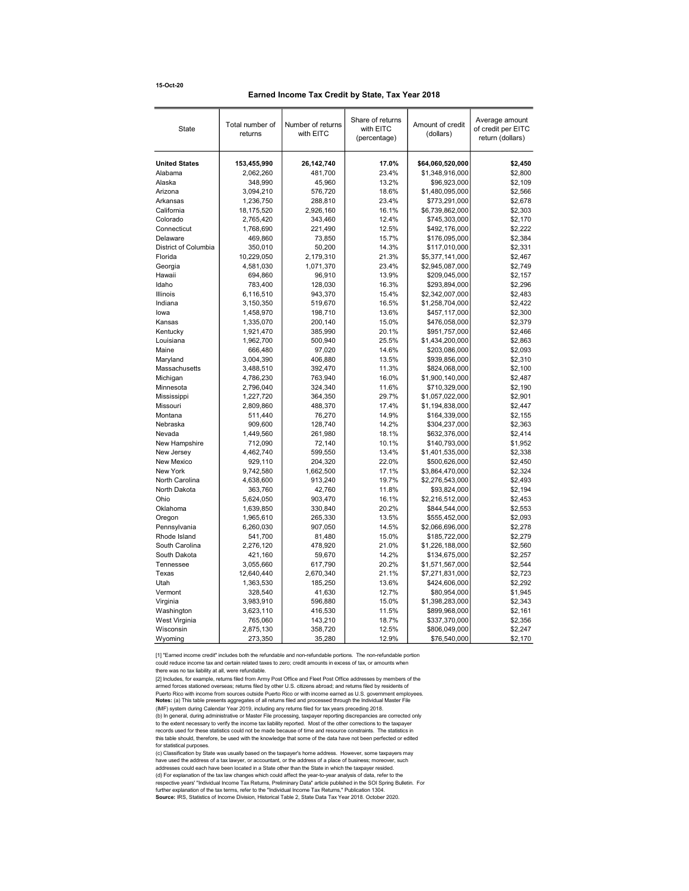## 15-Oct-20

## Earned Income Tax Credit by State, Tax Year 2018

| returns<br>with EITC<br>(dollars)<br>(percentage)<br>return (dollars)          | of credit per EITC |
|--------------------------------------------------------------------------------|--------------------|
| <b>United States</b><br>17.0%<br>\$64,060,520,000<br>153,455,990<br>26,142,740 | \$2,450            |
| Alabama<br>2,062,260<br>481,700<br>23.4%<br>\$1,348,916,000                    | \$2,800            |
| Alaska<br>348,990<br>45,960<br>13.2%<br>\$96,923,000                           | \$2,109            |
| Arizona<br>3,094,210<br>576,720<br>18.6%<br>\$1,480,095,000                    | \$2,566            |
| 23.4%<br>Arkansas<br>1,236,750<br>288,810<br>\$773,291,000                     | \$2,678            |
| California<br>18,175,520<br>2,926,160<br>16.1%<br>\$6,739,862,000              | \$2,303            |
| 12.4%<br>Colorado<br>343,460<br>\$745,303,000<br>2,765,420                     | \$2,170            |
| Connecticut<br>12.5%<br>1,768,690<br>221,490<br>\$492,176,000                  | \$2,222            |
| Delaware<br>469,860<br>73,850<br>15.7%<br>\$176,095,000                        | \$2,384            |
| District of Columbia<br>350,010<br>14.3%<br>\$117,010,000<br>50,200            | \$2,331            |
| Florida<br>10,229,050<br>2,179,310<br>21.3%<br>\$5,377,141,000                 | \$2,467            |
| Georgia<br>4,581,030<br>1,071,370<br>23.4%<br>\$2,945,087,000                  | \$2,749            |
| Hawaii<br>694,860<br>13.9%<br>96,910<br>\$209,045,000                          | \$2,157            |
| Idaho<br>783,400<br>128,030<br>16.3%<br>\$293,894,000                          | \$2,296            |
| Illinois<br>6,116,510<br>943,370<br>15.4%<br>\$2,342,007,000                   | \$2,483            |
| Indiana<br>3,150,350<br>519,670<br>16.5%<br>\$1,258,704,000                    | \$2.422            |
| 13.6%<br>lowa<br>1,458,970<br>198,710<br>\$457,117,000                         | \$2,300            |
| Kansas<br>1,335,070<br>200,140<br>15.0%<br>\$476,058,000                       | \$2,379            |
| 20.1%<br>\$951,757,000<br>Kentucky<br>1,921,470<br>385,990                     | \$2,466            |
| Louisiana<br>1,962,700<br>25.5%<br>\$1,434,200,000<br>500,940                  | \$2,863            |
| Maine<br>666,480<br>97,020<br>14.6%<br>\$203,086,000                           | \$2,093            |
| Maryland<br>3,004,390<br>406,880<br>13.5%<br>\$939,856,000                     | \$2,310            |
| 11.3%<br>\$824,068,000<br>Massachusetts<br>3,488,510<br>392,470                | \$2,100            |
| Michigan<br>4,786,230<br>763,940<br>16.0%<br>\$1,900,140,000                   | \$2,487            |
| 11.6%<br>Minnesota<br>2,796,040<br>324,340<br>\$710,329,000                    | \$2,190            |
| 29.7%<br>\$1,057,022,000<br>Mississippi<br>1,227,720<br>364,350                | \$2,901            |
| 488,370<br>17.4%<br>\$1,194,838,000<br>Missouri<br>2,809,860                   | \$2,447            |
| 14.9%<br>Montana<br>511,440<br>76,270<br>\$164,339,000                         | \$2,155            |
| Nebraska<br>909,600<br>128,740<br>14.2%<br>\$304,237,000                       | \$2,363            |
| 18.1%<br>\$632,376,000<br>Nevada<br>1,449,560<br>261,980                       | \$2,414            |
| New Hampshire<br>712,090<br>72,140<br>10.1%<br>\$140,793,000                   | \$1,952            |
| 13.4%<br>New Jersey<br>4,462,740<br>599,550<br>\$1,401,535,000                 | \$2,338            |
| 22.0%<br>New Mexico<br>929,110<br>204,320<br>\$500,626,000                     | \$2,450            |
| 17.1%<br>New York<br>9.742.580<br>1,662,500<br>\$3,864,470,000                 | \$2.324            |
| North Carolina<br>4,638,600<br>913,240<br>19.7%<br>\$2,276,543,000             | \$2,493            |
| North Dakota<br>363,760<br>42,760<br>11.8%<br>\$93,824,000                     | \$2,194            |
| Ohio<br>5,624,050<br>903,470<br>16.1%<br>\$2,216,512,000                       | \$2,453            |
| 1,639,850<br>330,840<br>20.2%<br>\$844,544,000<br>Oklahoma                     | \$2,553            |
| Oregon<br>1,965,610<br>265,330<br>13.5%<br>\$555,452,000                       | \$2,093            |
| Pennsylvania<br>907,050<br>14.5%<br>\$2,066,696,000<br>6,260,030               | \$2,278            |
| Rhode Island<br>541,700<br>81,480<br>15.0%<br>\$185,722,000                    | \$2,279            |
| South Carolina<br>478,920<br>21.0%<br>\$1,226,188,000<br>2,276,120             | \$2,560            |
| South Dakota<br>421,160<br>59,670<br>14.2%<br>\$134,675,000                    | \$2,257            |
| Tennessee<br>617,790<br>20.2%<br>\$1,571,567,000<br>3,055,660                  | \$2,544            |
| Texas<br>12,640,440<br>2,670,340<br>21.1%<br>\$7,271,831,000                   | \$2,723            |
| Utah<br>1,363,530<br>185,250<br>13.6%<br>\$424,606,000                         | \$2,292            |
| Vermont<br>328,540<br>41,630<br>12.7%<br>\$80,954,000                          | \$1,945            |
| 15.0%<br>Virginia<br>3,983,910<br>596,880<br>\$1,398,283,000                   | \$2,343            |
| Washington<br>3,623,110<br>416,530<br>11.5%<br>\$899,968,000                   | \$2,161            |
| West Virginia<br>18.7%<br>765,060<br>143,210<br>\$337,370,000                  | \$2,356            |
| Wisconsin<br>12.5%<br>\$806,049,000<br>2,875,130<br>358,720                    | \$2,247            |
| Wyoming<br>273,350<br>35,280<br>12.9%<br>\$76,540,000                          | \$2,170            |

[1] "Earned income credit" includes both the refundable and non-refundable portions. The non-refundable portion could reduce income tax and certain related taxes to zero; credit amounts in excess of tax, or amounts when

there was no tax liability at all, were refundable.

[2] Includes, for example, returns fiied from Army Post Office and Fleet Post Office addresses by members of the<br>armed forces stationed overseas; returns fiied by other U.S. citizens abroad; and returns fiied by residents (IMF) system during Calendar Year 2019, including any returns filed for tax years preceding 2018. (b) In general, during administrative or Master File processing, taxpayer reporting discrepancies are corrected only to the extent necessary to verify the income tax liability reported. Most of the other corrections to the taxpayer<br>records used for these statistics could not be made because of time and resource constraints. The statistic this table should, therefore, be used with the knowledge that some of the data have not been perfected or edited for statistical purposes.

(c) Classification by State was usually based on the taxpayer's home address. However, some taxpayers may<br>have used the address of a tax lawyer, or accountant, or the address of a place of business; moreover, such<br>address (d) For explanation of the tax law changes which could affect the year-to-year analysis of data, refer to the<br>respective years' "Individual Income Tax Returns, Preliminary Data" article published in the SOI Spring Bulletin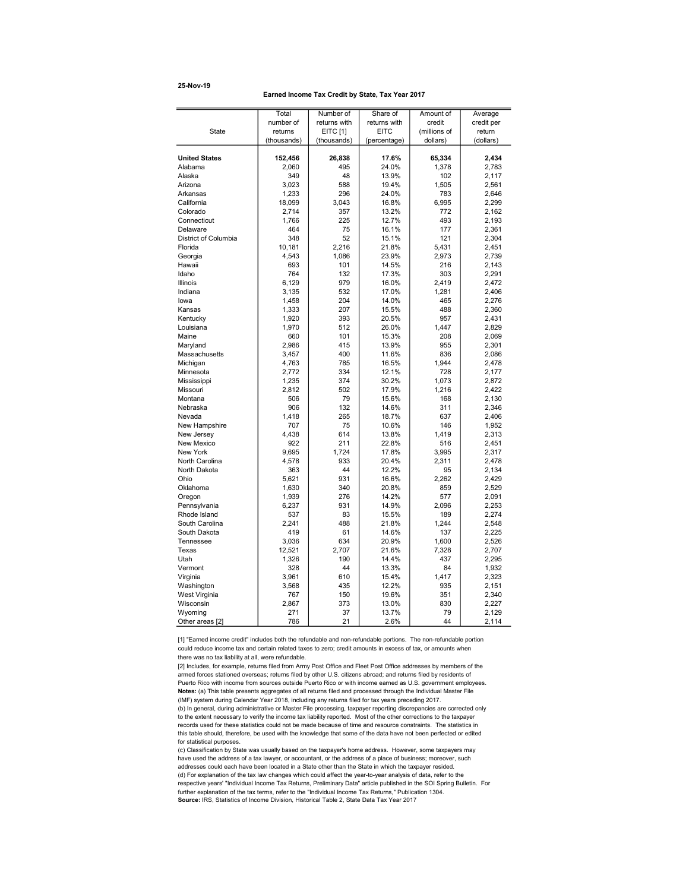## 25-Nov-19

#### Earned Income Tax Credit by State, Tax Year 2017

|                      | Total       | Number of    | Share of     | Amount of    | Average    |
|----------------------|-------------|--------------|--------------|--------------|------------|
|                      | number of   | returns with | returns with | credit       | credit per |
| <b>State</b>         | returns     | EITC [1]     | <b>EITC</b>  | (millions of | return     |
|                      | (thousands) | (thousands)  | (percentage) | dollars)     | (dollars)  |
|                      |             |              |              |              |            |
| <b>United States</b> | 152,456     | 26,838       | 17.6%        | 65,334       | 2,434      |
| Alabama              | 2,060       | 495          | 24.0%        | 1,378        | 2,783      |
| Alaska               | 349         | 48           | 13.9%        | 102          | 2,117      |
| Arizona              | 3,023       | 588          | 19.4%        | 1,505        | 2,561      |
| Arkansas             | 1,233       | 296          | 24.0%        | 783          | 2.646      |
| California           | 18,099      | 3,043        | 16.8%        | 6,995        | 2,299      |
| Colorado             | 2,714       | 357          | 13.2%        | 772          | 2,162      |
| Connecticut          | 1,766       | 225          | 12.7%        | 493          | 2,193      |
| Delaware             | 464         | 75           | 16.1%        | 177          | 2,361      |
| District of Columbia | 348         | 52           | 15.1%        | 121          | 2,304      |
| Florida              | 10,181      | 2,216        | 21.8%        | 5,431        | 2,451      |
| Georgia              | 4,543       | 1,086        | 23.9%        | 2,973        | 2,739      |
| Hawaii               | 693         | 101          | 14.5%        | 216          | 2,143      |
| Idaho                | 764         | 132          | 17.3%        | 303          | 2,291      |
| <b>Illinois</b>      | 6,129       | 979          | 16.0%        | 2,419        | 2,472      |
| Indiana              | 3,135       | 532          | 17.0%        | 1,281        | 2,406      |
| lowa                 | 1,458       | 204          | 14.0%        | 465          | 2,276      |
| Kansas               | 1,333       | 207          | 15.5%        | 488          | 2,360      |
| Kentucky             | 1,920       | 393          | 20.5%        | 957          | 2,431      |
| Louisiana            | 1,970       | 512          | 26.0%        | 1,447        | 2,829      |
| Maine                | 660         | 101          | 15.3%        | 208          | 2,069      |
| Maryland             | 2,986       | 415          | 13.9%        | 955          | 2,301      |
| Massachusetts        | 3,457       | 400          | 11.6%        | 836          | 2,086      |
| Michigan             | 4,763       | 785          | 16.5%        | 1,944        | 2,478      |
| Minnesota            | 2,772       | 334          | 12.1%        | 728          | 2,177      |
| Mississippi          | 1,235       | 374          | 30.2%        | 1,073        | 2,872      |
| Missouri             | 2,812       | 502          | 17.9%        | 1,216        | 2,422      |
| Montana              | 506         | 79           | 15.6%        | 168          | 2,130      |
| Nebraska             | 906         | 132          | 14.6%        | 311          | 2,346      |
| Nevada               | 1,418       | 265          | 18.7%        | 637          | 2,406      |
| New Hampshire        | 707         | 75           | 10.6%        | 146          | 1,952      |
| New Jersey           | 4,438       | 614          | 13.8%        | 1,419        | 2,313      |
| New Mexico           | 922         | 211          | 22.8%        | 516          | 2,451      |
| New York             | 9,695       | 1,724        | 17.8%        | 3,995        | 2,317      |
| North Carolina       | 4,578       | 933          | 20.4%        | 2,311        | 2,478      |
| North Dakota         | 363         | 44           | 12.2%        | 95           | 2,134      |
| Ohio                 | 5,621       | 931          | 16.6%        | 2,262        | 2,429      |
| Oklahoma             | 1,630       | 340          | 20.8%        | 859          | 2,529      |
| Oregon               | 1,939       | 276          | 14.2%        | 577          | 2,091      |
| Pennsylvania         | 6,237       | 931          | 14.9%        | 2.096        | 2.253      |
| Rhode Island         | 537         | 83           | 15.5%        | 189          | 2,274      |
| South Carolina       | 2,241       | 488          | 21.8%        | 1,244        | 2,548      |
| South Dakota         | 419         | 61           | 14.6%        | 137          | 2,225      |
| Tennessee            | 3,036       | 634          | 20.9%        | 1,600        | 2,526      |
| Texas                | 12,521      | 2,707        | 21.6%        | 7,328        | 2,707      |
| Utah                 | 1,326       | 190          | 14.4%        | 437          | 2,295      |
| Vermont              | 328         | 44           | 13.3%        | 84           | 1,932      |
| Virginia             | 3,961       | 610          | 15.4%        | 1,417        | 2,323      |
| Washington           | 3,568       | 435          | 12.2%        | 935          | 2,151      |
| West Virginia        | 767         | 150          | 19.6%        | 351          | 2,340      |
| Wisconsin            | 2,867       | 373          | 13.0%        | 830          | 2,227      |
| Wyoming              | 271         | 37           | 13.7%        | 79           | 2,129      |
| Other areas [2]      | 786         | 21           | 2.6%         | 44           | 2,114      |

[1] "Earned income credit" includes both the refundable and non-refundable portions. The non-refundable portion could reduce income tax and certain related taxes to zero; credit amounts in excess of tax, or amounts when there was no tax liability at all, were refundable.

[2] Includes, for example, returns filed from Army Post Office and Fleet Post Office addresses by members of the armed forces stationed overseas; returns filed by other U.S. citizens abroad; and returns filed by residents of Puerto Rico with income from sources outside Puerto Rico or with income earned as U.S. government employees. Notes: (a) This table presents aggregates of all returns filed and processed through the Individual Master File (IMF) system during Calendar Year 2018, including any returns filed for tax years preceding 2017.

(b) In general, during administrative or Master File processing, taxpayer reporting discrepancies are corrected only<br>to the extent necessary to verify the income tax liability reported. Most of the other corrections to the records used for these statistics could not be made because of time and resource constraints. The statistics in this table should, therefore, be used with the knowledge that some of the data have not been perfected or edited for statistical purposes.

(c) Classification by State was usually based on the taxpayer's home address. However, some taxpayers may have used the address of a tax lawyer, or accountant, or the address of a place of business; moreover, such addresses could each have been located in a State other than the State in which the taxpayer resided. (d) For explanation of the tax law changes which could affect the year-to-year analysis of data, refer to the respective years' "Individual Income Tax Returns, Preliminary Data" article published in the SOI Spring Bulletin. For further explanation of the tax terms, refer to the "Individual Income Tax Returns," Publication 1304. Source: IRS, Statistics of Income Division, Historical Table 2, State Data Tax Year 2017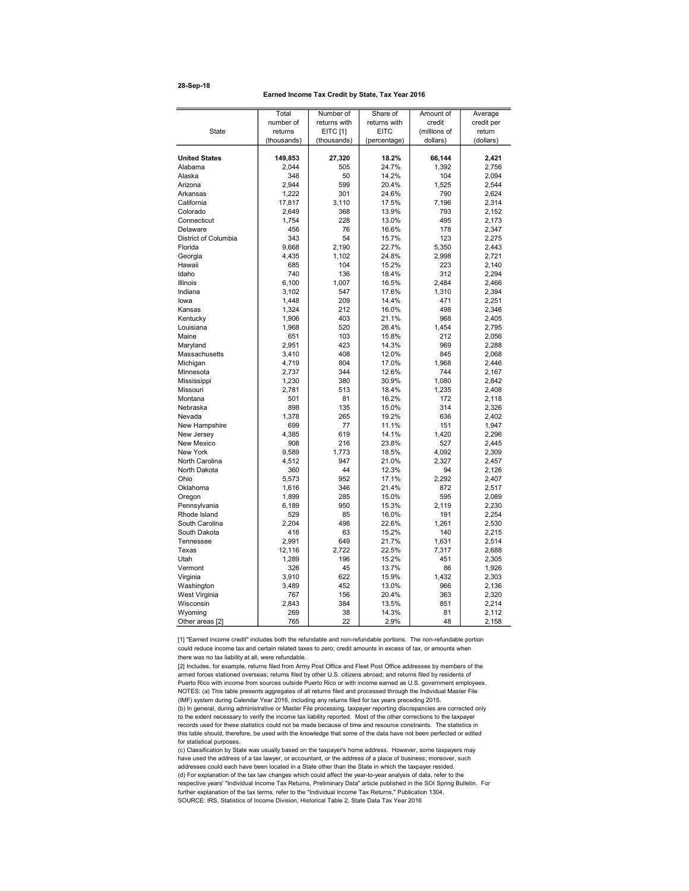## 28-Sep-18

#### Earned Income Tax Credit by State, Tax Year 2016

|                      | Total       | Number of    | Share of     | Amount of    | Average    |
|----------------------|-------------|--------------|--------------|--------------|------------|
|                      | number of   | returns with | returns with | credit       | credit per |
| State                | returns     | EITC [1]     | <b>EITC</b>  | (millions of | return     |
|                      | (thousands) | (thousands)  | (percentage) | dollars)     | (dollars)  |
|                      |             |              |              |              |            |
| <b>United States</b> | 149,853     | 27,320       | 18.2%        | 66,144       | 2,421      |
| Alabama              | 2,044       | 505          | 24.7%        | 1,392        | 2,756      |
| Alaska               | 348         | 50           | 14.2%        | 104          | 2,094      |
| Arizona              | 2,944       | 599          | 20.4%        | 1,525        | 2,544      |
| Arkansas             | 1,222       | 301          | 24.6%        | 790          | 2,624      |
| California           | 17,817      | 3,110        | 17.5%        | 7,196        | 2,314      |
| Colorado             | 2,649       | 368          | 13.9%        | 793          | 2,152      |
| Connecticut          | 1,754       | 228          | 13.0%        | 495          | 2,173      |
| Delaware             | 456         | 76           | 16.6%        | 178          | 2,347      |
| District of Columbia | 343         | 54           | 15.7%        | 123          | 2,275      |
| Florida              | 9,668       | 2,190        | 22.7%        | 5,350        | 2,443      |
| Georgia              | 4,435       | 1,102        | 24.8%        | 2,998        | 2,721      |
| Hawaii               | 685         | 104          | 15.2%        | 223          | 2,140      |
| Idaho                | 740         | 136          | 18.4%        | 312          | 2.294      |
| <b>Illinois</b>      | 6.100       | 1,007        | 16.5%        | 2.484        | 2,466      |
| Indiana              | 3,102       | 547          | 17.6%        | 1,310        | 2,394      |
| lowa                 | 1,448       | 209          | 14.4%        | 471          | 2,251      |
| Kansas               | 1,324       | 212          | 16.0%        | 498          | 2.346      |
| Kentucky             | 1,906       | 403          | 21.1%        | 968          | 2,405      |
| Louisiana            | 1,968       | 520          | 26.4%        | 1,454        | 2,795      |
| Maine                | 651         | 103          | 15.8%        | 212          | 2,056      |
| Maryland             | 2,951       | 423          | 14.3%        | 969          | 2,288      |
| Massachusetts        | 3,410       | 408          | 12.0%        | 845          | 2,068      |
| Michigan             | 4,719       | 804          | 17.0%        | 1,968        | 2,446      |
| Minnesota            | 2,737       | 344          | 12.6%        | 744          | 2,167      |
| Mississippi          | 1,230       | 380          | 30.9%        | 1,080        | 2,842      |
| Missouri             | 2,781       | 513          | 18.4%        | 1,235        | 2,408      |
| Montana              | 501         | 81           | 16.2%        | 172          | 2,118      |
| Nebraska             | 898         | 135          | 15.0%        | 314          | 2,326      |
| Nevada               | 1,378       | 265          | 19.2%        | 636          | 2,402      |
| New Hampshire        | 699         | 77           | 11.1%        | 151          | 1,947      |
| New Jersey           | 4,385       | 619          | 14.1%        | 1,420        | 2,296      |
| New Mexico           | 908         | 216          | 23.8%        | 527          | 2,445      |
| New York             | 9,589       | 1,773        | 18.5%        | 4,092        | 2,309      |
| North Carolina       | 4,512       | 947          | 21.0%        | 2,327        | 2,457      |
| North Dakota         | 360         | 44           | 12.3%        | 94           | 2,126      |
| Ohio                 | 5,573       | 952          | 17.1%        | 2,292        | 2,407      |
| Oklahoma             | 1,616       | 346          | 21.4%        | 872          | 2,517      |
|                      |             | 285          | 15.0%        | 595          |            |
| Oregon               | 1,899       | 950          | 15.3%        | 2.119        | 2,089      |
| Pennsylvania         | 6,189       | 85           |              |              | 2,230      |
| Rhode Island         | 529         | 498          | 16.0%        | 191          | 2,254      |
| South Carolina       | 2,204       |              | 22.6%        | 1,261        | 2,530      |
| South Dakota         | 416         | 63           | 15.2%        | 140          | 2,215      |
| Tennessee            | 2,991       | 649          | 21.7%        | 1,631        | 2,514      |
| Texas                | 12,116      | 2,722        | 22.5%        | 7,317        | 2,688      |
| Utah                 | 1,289       | 196          | 15.2%        | 451          | 2,305      |
| Vermont              | 326         | 45           | 13.7%        | 86           | 1,926      |
| Virginia             | 3,910       | 622          | 15.9%        | 1,432        | 2,303      |
| Washington           | 3.489       | 452          | 13.0%        | 966          | 2,136      |
| West Virginia        | 767         | 156          | 20.4%        | 363          | 2,320      |
| Wisconsin            | 2,843       | 384          | 13.5%        | 851          | 2,214      |
| Wyoming              | 269         | 38           | 14.3%        | 81           | 2,112      |
| Other areas [2]      | 765         | 22           | 2.9%         | 48           | 2,158      |

[1] "Earned income credit" includes both the refundable and non-refundable portions. The non-refundable portion could reduce income tax and certain related taxes to zero; credit amounts in excess of tax, or amounts when there was no tax liability at all, were refundable.

[2] Includes, for example, returns filed from Army Post Office and Fleet Post Office addresses by members of the armed forces stationed overseas; returns filed by other U.S. citizens abroad; and returns filed by residents of Puerto Rico with income from sources outside Puerto Rico or with income earned as U.S. government employees. NOTES: (a) This table presents aggregates of all returns filed and processed through the Individual Master File (IMF) system during Calendar Year 2016, including any returns filed for tax years preceding 2015. (b) In general, during administrative or Master File processing, taxpayer reporting discrepancies are corrected only<br>to the extent necessary to verify the income tax liability reported. Most of the other corrections to the records used for these statistics could not be made because of time and resource constraints. The statistics in

this table should, therefore, be used with the knowledge that some of the data have not been perfected or edited for statistical purposes. (c) Classification by State was usually based on the taxpayer's home address. However, some taxpayers may

have used the address of a tax lawyer, or accountant, or the address of a place of business; moreover, such addresses could each have been located in a State other than the State in which the taxpayer resided. (d) For explanation of the tax law changes which could affect the year-to-year analysis of data, refer to the respective years' "Individual Income Tax Returns, Preliminary Data" article published in the SOI Spring Bulletin. For further explanation of the tax terms, refer to the "Individual Income Tax Returns," Publication 1304. SOURCE: IRS, Statistics of Income Division, Historical Table 2, State Data Tax Year 2016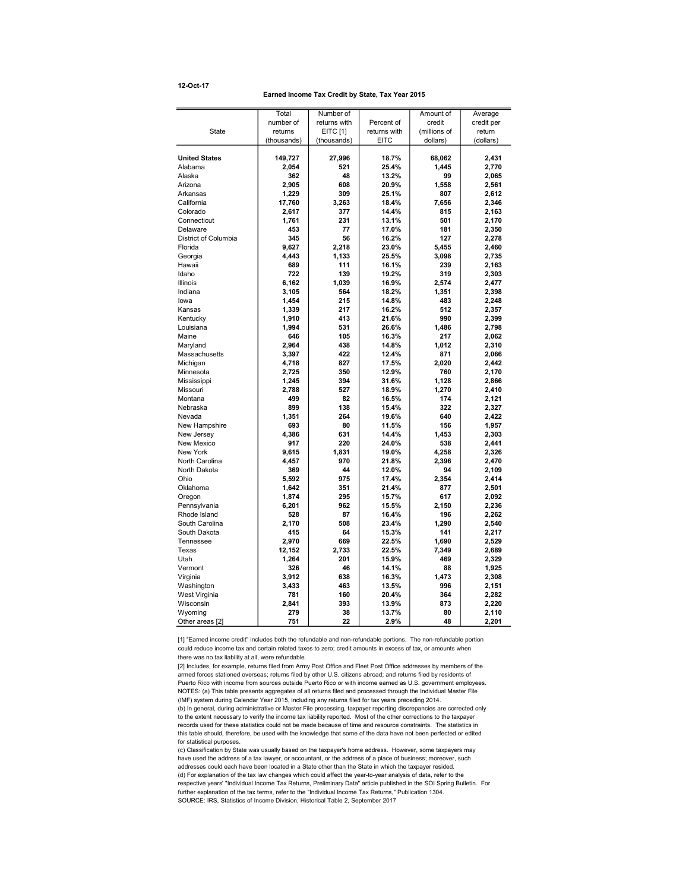## 12-Oct-17

#### Earned Income Tax Credit by State, Tax Year 2015

|                      | Total       | Number of    |              | Amount of    | Average    |
|----------------------|-------------|--------------|--------------|--------------|------------|
|                      | number of   | returns with | Percent of   | credit       | credit per |
| State                | returns     | EITC [1]     | returns with | (millions of | return     |
|                      | (thousands) | (thousands)  | <b>EITC</b>  | dollars)     | (dollars)  |
|                      |             |              |              |              |            |
| <b>United States</b> | 149,727     | 27,996       | 18.7%        | 68,062       | 2,431      |
| Alabama              | 2,054       | 521          | 25.4%        | 1,445        | 2,770      |
| Alaska               | 362         | 48           | 13.2%        | 99           | 2.065      |
| Arizona              | 2,905       | 608          | 20.9%        | 1,558        | 2,561      |
| Arkansas             | 1,229       | 309          | 25.1%        | 807          | 2,612      |
| California           | 17,760      | 3,263        | 18.4%        | 7,656        | 2,346      |
| Colorado             | 2,617       | 377          | 14.4%        | 815          | 2,163      |
| Connecticut          | 1,761       | 231          | 13.1%        | 501          | 2,170      |
| Delaware             | 453         | 77           | 17.0%        | 181          | 2,350      |
| District of Columbia | 345         | 56           | 16.2%        | 127          | 2,278      |
| Florida              | 9,627       | 2,218        | 23.0%        | 5,455        | 2,460      |
| Georgia              | 4,443       | 1,133        | 25.5%        | 3,098        | 2,735      |
| Hawaii               | 689         | 111          | 16.1%        | 239          | 2,163      |
| Idaho                | 722         | 139          | 19.2%        | 319          | 2,303      |
| Illinois             | 6,162       | 1,039        | 16.9%        | 2,574        | 2,477      |
| Indiana              | 3,105       | 564          | 18.2%        | 1,351        | 2,398      |
| lowa                 | 1,454       | 215          | 14.8%        | 483          | 2,248      |
| Kansas               | 1,339       | 217          | 16.2%        | 512          | 2,357      |
| Kentucky             | 1,910       | 413          | 21.6%        | 990          | 2,399      |
| Louisiana            | 1,994       | 531          | 26.6%        | 1,486        | 2,798      |
| Maine                | 646         | 105          | 16.3%        | 217          | 2,062      |
|                      | 2.964       | 438          | 14.8%        | 1.012        |            |
| Maryland             | 3,397       | 422          | 12.4%        | 871          | 2,310      |
| Massachusetts        |             | 827          |              |              | 2,066      |
| Michigan             | 4,718       | 350          | 17.5%        | 2,020        | 2,442      |
| Minnesota            | 2,725       |              | 12.9%        | 760          | 2,170      |
| Mississippi          | 1,245       | 394          | 31.6%        | 1,128        | 2,866      |
| Missouri             | 2.788       | 527          | 18.9%        | 1,270        | 2,410      |
| Montana              | 499         | 82           | 16.5%        | 174          | 2,121      |
| Nebraska             | 899         | 138          | 15.4%        | 322          | 2,327      |
| Nevada               | 1,351       | 264          | 19.6%        | 640          | 2,422      |
| New Hampshire        | 693         | 80           | 11.5%        | 156          | 1,957      |
| New Jersey           | 4,386       | 631          | 14.4%        | 1,453        | 2,303      |
| New Mexico           | 917         | 220          | 24.0%        | 538          | 2,441      |
| New York             | 9,615       | 1,831        | 19.0%        | 4,258        | 2,326      |
| North Carolina       | 4,457       | 970          | 21.8%        | 2,396        | 2,470      |
| North Dakota         | 369         | 44           | 12.0%        | 94           | 2,109      |
| Ohio                 | 5,592       | 975          | 17.4%        | 2,354        | 2,414      |
| Oklahoma             | 1,642       | 351          | 21.4%        | 877          | 2,501      |
| Oregon               | 1,874       | 295          | 15.7%        | 617          | 2,092      |
| Pennsylvania         | 6,201       | 962          | 15.5%        | 2,150        | 2,236      |
| Rhode Island         | 528         | 87           | 16.4%        | 196          | 2,262      |
| South Carolina       | 2.170       | 508          | 23.4%        | 1.290        | 2,540      |
| South Dakota         | 415         | 64           | 15.3%        | 141          | 2,217      |
| Tennessee            | 2,970       | 669          | 22.5%        | 1,690        | 2,529      |
| Texas                | 12,152      | 2,733        | 22.5%        | 7,349        | 2,689      |
| Utah                 | 1,264       | 201          | 15.9%        | 469          | 2,329      |
| Vermont              | 326         | 46           | 14.1%        | 88           | 1,925      |
| Virginia             | 3,912       | 638          | 16.3%        | 1,473        | 2,308      |
| Washington           | 3,433       | 463          | 13.5%        | 996          | 2,151      |
| West Virginia        | 781         | 160          | 20.4%        | 364          | 2,282      |
| Wisconsin            | 2,841       | 393          | 13.9%        | 873          | 2,220      |
| Wyoming              | 279         | 38           | 13.7%        | 80           | 2,110      |
| Other areas [2]      | 751         | 22           | 2.9%         | 48           | 2,201      |

[1] "Earned income credit" includes both the refundable and non-refundable portions. The non-refundable portion could reduce income tax and certain related taxes to zero; credit amounts in excess of tax, or amounts when there was no tax liability at all, were refundable.

[2] Includes, for example, returns filed from Army Post Office and Fleet Post Office addresses by members of the armed forces stationed overseas; returns filed by other U.S. citizens abroad; and returns filed by residents of Puerto Rico with income from sources outside Puerto Rico or with income earned as U.S. government employees. NOTES: (a) This table presents aggregates of all returns filed and processed through the Individual Master File (IMF) system during Calendar Year 2015, including any returns filed for tax years preceding 2014. (b) In general, during administrative or Master File processing, taxpayer reporting discrepancies are corrected only<br>to the extent necessary to verify the income tax liability reported. Most of the other corrections to the

records used for these statistics could not be made because of time and resource constraints. The statistics in this table should, therefore, be used with the knowledge that some of the data have not been perfected or edited for statistical purposes. (c) Classification by State was usually based on the taxpayer's home address. However, some taxpayers may

have used the address of a tax lawyer, or accountant, or the address of a place of business; moreover, such addresses could each have been located in a State other than the State in which the taxpayer resided. (d) For explanation of the tax law changes which could affect the year-to-year analysis of data, refer to the respective years' "Individual Income Tax Returns, Preliminary Data" article published in the SOI Spring Bulletin. For further explanation of the tax terms, refer to the "Individual Income Tax Returns," Publication 1304. SOURCE: IRS, Statistics of Income Division, Historical Table 2, September 2017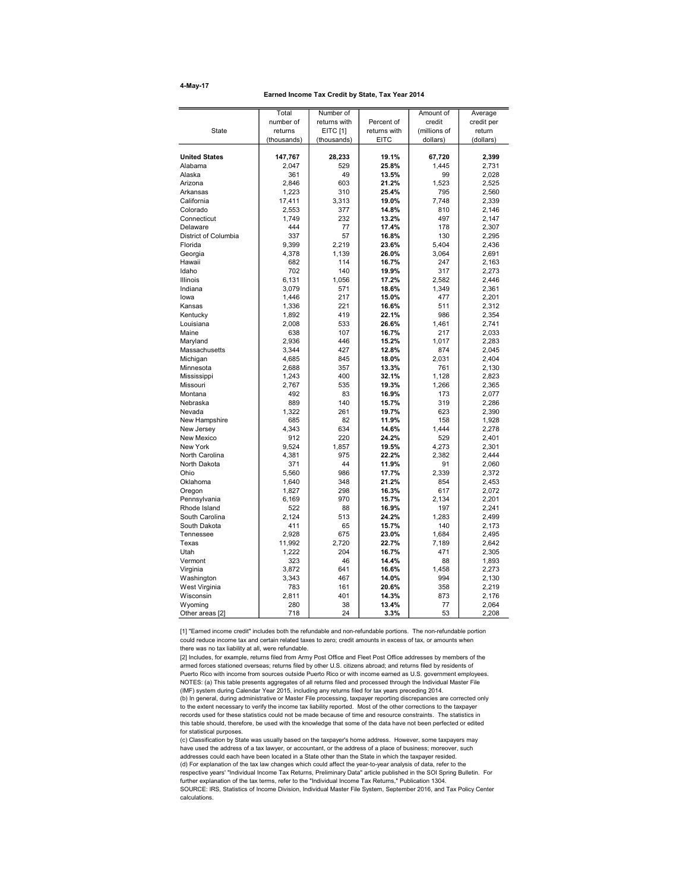# 4-May-17

#### Earned Income Tax Credit by State, Tax Year 2014

|                                  | Total          | Number of       |                | Amount of    | Average        |
|----------------------------------|----------------|-----------------|----------------|--------------|----------------|
|                                  | number of      | returns with    | Percent of     | credit       | credit per     |
| <b>State</b>                     | returns        | <b>EITC [1]</b> | returns with   | (millions of | return         |
|                                  | (thousands)    | (thousands)     | <b>EITC</b>    | dollars)     | (dollars)      |
|                                  |                |                 |                |              |                |
| <b>United States</b>             | 147,767        | 28,233          | 19.1%          | 67,720       | 2,399          |
| Alabama                          | 2,047          | 529             | 25.8%          | 1.445        | 2,731          |
| Alaska                           | 361            | 49              | 13.5%          | 99           | 2,028          |
| Arizona                          | 2,846          | 603             | 21.2%          | 1,523        | 2,525          |
| Arkansas                         | 1,223          | 310             | 25.4%          | 795          | 2,560          |
| California                       | 17,411         | 3,313           | 19.0%          | 7,748        | 2,339          |
| Colorado                         | 2,553          | 377             | 14.8%          | 810          | 2,146          |
| Connecticut                      | 1,749          | 232             | 13.2%          | 497          | 2,147          |
| Delaware<br>District of Columbia | 444            | 77              | 17.4%          | 178          | 2,307          |
|                                  | 337            | 57              | 16.8%          | 130          | 2,295          |
| Florida                          | 9,399          | 2,219           | 23.6%          | 5,404        | 2,436          |
| Georgia                          | 4,378          | 1,139           | 26.0%          | 3,064        | 2,691          |
| Hawaii                           | 682            | 114             | 16.7%          | 247          | 2,163          |
| Idaho                            | 702            | 140             | 19.9%          | 317          | 2,273          |
| <b>Illinois</b>                  | 6,131          | 1,056           | 17.2%          | 2,582        | 2,446          |
| Indiana                          | 3,079          | 571             | 18.6%          | 1,349        | 2,361          |
| lowa                             | 1,446          | 217             | 15.0%          | 477          | 2,201          |
| Kansas                           | 1,336          | 221             | 16.6%          | 511          | 2,312          |
| Kentucky                         | 1,892          | 419             | 22.1%          | 986          | 2,354          |
| Louisiana                        | 2,008          | 533             | 26.6%          | 1,461        | 2,741          |
| Maine                            | 638            | 107             | 16.7%          | 217          | 2,033          |
| Maryland                         | 2,936          | 446             | 15.2%          | 1,017        | 2,283          |
| Massachusetts                    | 3,344          | 427             | 12.8%          | 874          | 2,045          |
| Michigan                         | 4,685          | 845<br>357      | 18.0%<br>13.3% | 2.031<br>761 | 2,404          |
| Minnesota                        | 2,688          | 400             | 32.1%          |              | 2,130          |
| Mississippi                      | 1,243<br>2,767 | 535             | 19.3%          | 1,128        | 2,823          |
| Missouri<br>Montana              |                | 83              | 16.9%          | 1,266        | 2,365          |
| Nebraska                         | 492<br>889     | 140             | 15.7%          | 173<br>319   | 2,077          |
| Nevada                           | 1,322          | 261             | 19.7%          | 623          | 2,286<br>2,390 |
| New Hampshire                    | 685            | 82              | 11.9%          | 158          | 1,928          |
| New Jersey                       | 4,343          | 634             | 14.6%          | 1,444        | 2,278          |
| New Mexico                       | 912            | 220             | 24.2%          | 529          | 2,401          |
| New York                         | 9,524          | 1,857           | 19.5%          | 4,273        | 2,301          |
| North Carolina                   | 4,381          | 975             | 22.2%          | 2,382        | 2,444          |
| North Dakota                     | 371            | 44              | 11.9%          | 91           | 2,060          |
| Ohio                             | 5.560          | 986             | 17.7%          | 2.339        | 2,372          |
| Oklahoma                         | 1,640          | 348             | 21.2%          | 854          | 2,453          |
| Oregon                           | 1,827          | 298             | 16.3%          | 617          | 2,072          |
| Pennsylvania                     | 6,169          | 970             | 15.7%          | 2,134        | 2,201          |
| Rhode Island                     | 522            | 88              | 16.9%          | 197          | 2,241          |
| South Carolina                   | 2,124          | 513             | 24.2%          | 1,283        | 2,499          |
| South Dakota                     | 411            | 65              | 15.7%          | 140          | 2,173          |
| Tennessee                        | 2,928          | 675             | 23.0%          | 1,684        | 2,495          |
| Texas                            | 11,992         | 2,720           | 22.7%          | 7,189        | 2,642          |
| Utah                             | 1,222          | 204             | 16.7%          | 471          | 2,305          |
| Vermont                          | 323            | 46              | 14.4%          | 88           | 1,893          |
| Virginia                         | 3,872          | 641             | 16.6%          | 1,458        | 2,273          |
| Washington                       | 3.343          | 467             | 14.0%          | 994          | 2,130          |
| West Virginia                    | 783            | 161             | 20.6%          | 358          | 2,219          |
| Wisconsin                        | 2,811          | 401             | 14.3%          | 873          | 2,176          |
| Wyoming                          | 280            | 38              | 13.4%          | 77           | 2,064          |
| Other areas [2]                  | 718            | 24              | 3.3%           | 53           | 2,208          |
|                                  |                |                 |                |              |                |

[1] "Earned income credit" includes both the refundable and non-refundable portions. The non-refundable portion could reduce income tax and certain related taxes to zero; credit amounts in excess of tax, or amounts when there was no tax liability at all, were refundable.

[2] Includes, for example, returns filed from Army Post Office and Fleet Post Office addresses by members of the armed forces stationed overseas; returns filed by other U.S. citizens abroad; and returns filed by residents of Puerto Rico with income from sources outside Puerto Rico or with income earned as U.S. government employees. NOTES: (a) This table presents aggregates of all returns filed and processed through the Individual Master File (IMF) system during Calendar Year 2015, including any returns filed for tax years preceding 2014.

(b) In general, during administrative or Master File processing, taxpayer reporting discrepancies are corrected only to the extent necessary to verify the income tax liability reported. Most of the other corrections to the taxpayer records used for these statistics could not be made because of time and resource constraints. The statistics in this table should, therefore, be used with the knowledge that some of the data have not been perfected or edited for statistical purposes.

(c) Classification by State was usually based on the taxpayer's home address. However, some taxpayers may have used the address of a tax lawyer, or accountant, or the address of a place of business; moreover, such addresses could each have been located in a State other than the State in which the taxpayer resided. (d) For explanation of the tax law changes which could affect the year-to-year analysis of data, refer to the respective years' "Individual Income Tax Returns, Preliminary Data" article published in the SOI Spring Bulletin. For further explanation of the tax terms, refer to the "Individual Income Tax Returns," Publication 1304. SOURCE: IRS, Statistics of Income Division, Individual Master File System, September 2016, and Tax Policy Center calculations.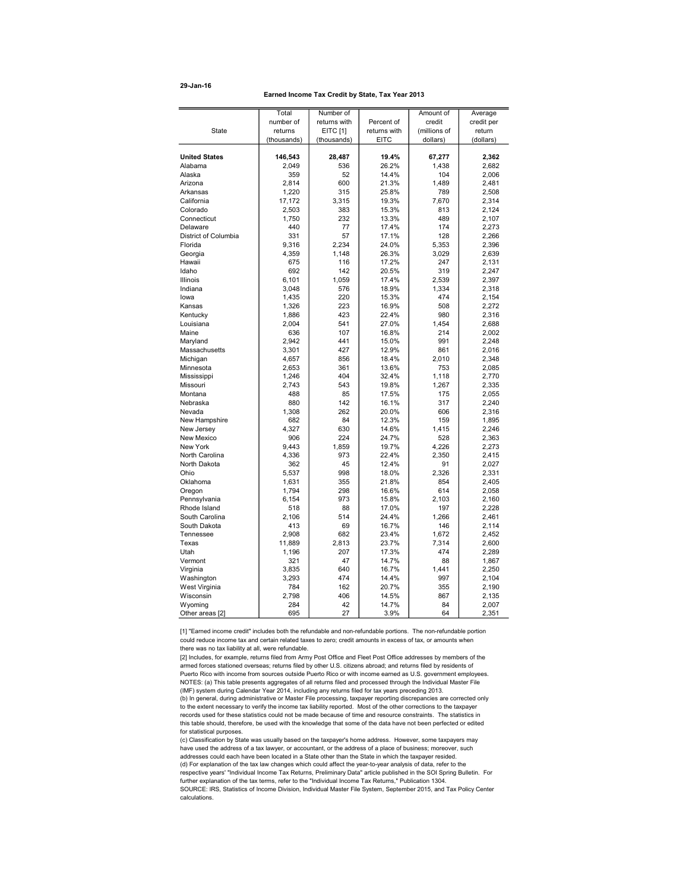# 29-Jan-16

Earned Income Tax Credit by State, Tax Year 2013

|                      | Total        | Number of    |              | Amount of    | Average    |
|----------------------|--------------|--------------|--------------|--------------|------------|
|                      | number of    | returns with | Percent of   | credit       | credit per |
| <b>State</b>         | returns      | EITC [1]     | returns with | (millions of | return     |
|                      | (thousands)  | (thousands)  | <b>EITC</b>  | dollars)     | (dollars)  |
|                      |              |              |              |              |            |
| <b>United States</b> | 146,543      | 28,487       | 19.4%        | 67,277       | 2,362      |
| Alabama              | 2,049        | 536          | 26.2%        | 1,438        | 2,682      |
| Alaska               | 359          | 52           | 14.4%        | 104          | 2,006      |
| Arizona              | 2.814        | 600          | 21.3%        | 1.489        | 2,481      |
| Arkansas             | 1,220        | 315          | 25.8%        | 789          | 2,508      |
| California           | 17,172       | 3,315        | 19.3%        | 7,670        | 2,314      |
| Colorado             | 2,503        | 383          | 15.3%        | 813          | 2,124      |
| Connecticut          | 1,750        | 232          | 13.3%        | 489          | 2,107      |
| Delaware             | 440          | 77           | 17.4%        | 174          | 2,273      |
| District of Columbia | 331          | 57           | 17.1%        | 128          | 2,266      |
| Florida              | 9,316        | 2,234        | 24.0%        | 5,353        | 2,396      |
| Georgia              | 4,359        | 1,148        | 26.3%        | 3,029        | 2,639      |
| Hawaii               | 675          | 116          | 17.2%        | 247          | 2,131      |
| Idaho                | 692          | 142          | 20.5%        | 319          | 2.247      |
| Illinois             | 6,101        | 1,059        | 17.4%        | 2,539        | 2,397      |
| Indiana              | 3,048        | 576          | 18.9%        | 1,334        | 2,318      |
| lowa                 | 1,435        | 220          | 15.3%        | 474          | 2,154      |
| Kansas               | 1,326        | 223          | 16.9%        | 508          | 2,272      |
| Kentucky             | 1,886        | 423          | 22.4%        | 980          | 2,316      |
| Louisiana            | 2,004        | 541          | 27.0%        | 1,454        | 2,688      |
| Maine                | 636          | 107          | 16.8%        | 214          | 2,002      |
| Maryland             | 2,942        | 441          | 15.0%        | 991          | 2,248      |
| Massachusetts        | 3,301        | 427          | 12.9%        | 861          | 2,016      |
| Michigan             | 4,657        | 856          | 18.4%        | 2,010        | 2,348      |
| Minnesota            | 2,653        | 361          | 13.6%        | 753          | 2,085      |
| Mississippi          | 1,246        | 404          | 32.4%        | 1,118        | 2,770      |
| Missouri             | 2,743        | 543          | 19.8%        | 1,267        | 2,335      |
| Montana              | 488          | 85           | 17.5%        | 175          | 2,055      |
| Nebraska             | 880          | 142          | 16.1%        | 317          | 2,240      |
| Nevada               | 1,308        | 262          | 20.0%        | 606          | 2,316      |
| New Hampshire        | 682          | 84           | 12.3%        | 159          | 1,895      |
| New Jersey           | 4,327        | 630          | 14.6%        | 1,415        | 2,246      |
| New Mexico           | 906          | 224          | 24.7%        | 528          | 2,363      |
| New York             | 9,443        | 1,859        | 19.7%        | 4,226        | 2,273      |
| North Carolina       | 4,336        | 973          | 22.4%        | 2,350        | 2,415      |
| North Dakota         | 362          | 45           | 12.4%        | 91           | 2.027      |
| Ohio                 | 5,537        | 998          | 18.0%        | 2,326        | 2,331      |
| Oklahoma             | 1,631        | 355          | 21.8%        | 854          | 2,405      |
| Oregon               | 1,794        | 298          | 16.6%        | 614          | 2,058      |
| Pennsylvania         | 6,154        | 973          | 15.8%        | 2,103        | 2,160      |
| Rhode Island         | 518          | 88           | 17.0%        | 197          | 2,228      |
| South Carolina       | 2,106        | 514          | 24.4%        | 1,266        | 2,461      |
| South Dakota         | 413          | 69           | 16.7%        | 146          | 2,114      |
| Tennessee            | 2,908        | 682          | 23.4%        | 1,672        | 2,452      |
| Texas                | 11,889       | 2,813        | 23.7%        | 7,314        | 2,600      |
| Utah                 |              | 207          | 17.3%        | 474          | 2,289      |
| Vermont              | 1,196<br>321 | 47           | 14.7%        | 88           | 1,867      |
|                      | 3,835        | 640          | 16.7%        | 1.441        | 2,250      |
| Virginia             |              | 474          |              |              |            |
| Washington           | 3,293        |              | 14.4%        | 997          | 2,104      |
| West Virginia        | 784          | 162          | 20.7%        | 355          | 2,190      |
| Wisconsin            | 2,798        | 406          | 14.5%        | 867          | 2,135      |
| Wyoming              | 284          | 42           | 14.7%        | 84           | 2,007      |
| Other areas [2]      | 695          | 27           | 3.9%         | 64           | 2,351      |

[1] "Earned income credit" includes both the refundable and non-refundable portions. The non-refundable portion could reduce income tax and certain related taxes to zero; credit amounts in excess of tax, or amounts when there was no tax liability at all, were refundable.

[2] Includes, for example, returns filed from Army Post Office and Fleet Post Office addresses by members of the armed forces stationed overseas; returns filed by other U.S. citizens abroad; and returns filed by residents of Puerto Rico with income from sources outside Puerto Rico or with income earned as U.S. government employees. NOTES: (a) This table presents aggregates of all returns filed and processed through the Individual Master File (IMF) system during Calendar Year 2014, including any returns filed for tax years preceding 2013.

(b) In general, during administrative or Master File processing, taxpayer reporting discrepancies are corrected only to the extent necessary to verify the income tax liability reported. Most of the other corrections to the taxpayer records used for these statistics could not be made because of time and resource constraints. The statistics in this table should, therefore, be used with the knowledge that some of the data have not been perfected or edited for statistical purposes.

(c) Classification by State was usually based on the taxpayer's home address. However, some taxpayers may have used the address of a tax lawyer, or accountant, or the address of a place of business; moreover, such addresses could each have been located in a State other than the State in which the taxpayer resided. (d) For explanation of the tax law changes which could affect the year-to-year analysis of data, refer to the respective years' "Individual Income Tax Returns, Preliminary Data" article published in the SOI Spring Bulletin. For further explanation of the tax terms, refer to the "Individual Income Tax Returns," Publication 1304. SOURCE: IRS, Statistics of Income Division, Individual Master File System, September 2015, and Tax Policy Center calculations.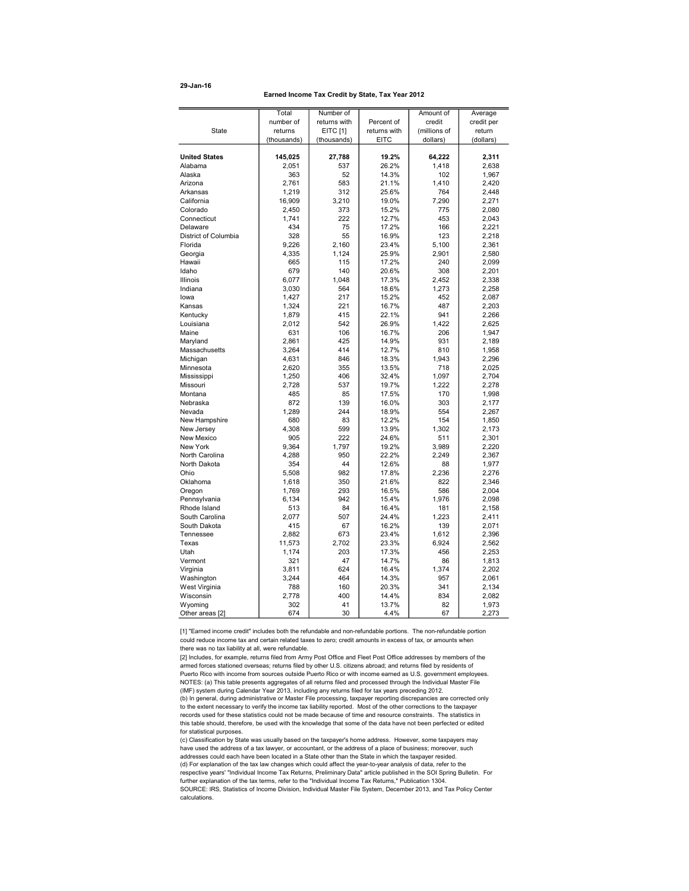# 29-Jan-16

#### Earned Income Tax Credit by State, Tax Year 2012

| Total<br>Number of<br>Average<br>Amount of<br>Percent of<br>number of<br>returns with<br>credit<br>credit per<br>State<br><b>EITC</b> [1]<br>returns with<br>(millions of<br>return<br>returns<br><b>EITC</b><br>dollars)<br>(thousands)<br>(thousands)<br>(dollars)<br><b>United States</b><br>145,025<br>27,788<br>19.2%<br>64,222<br>2,311<br>1,418<br>Alabama<br>2,051<br>537<br>26.2%<br>2,638<br>Alaska<br>52<br>14.3%<br>102<br>363<br>1,967<br>21.1%<br>1,410<br>Arizona<br>2,761<br>583<br>2,420<br>Arkansas<br>1,219<br>312<br>25.6%<br>764<br>2,448<br>California<br>16,909<br>3,210<br>19.0%<br>7,290<br>2,271 |  |
|----------------------------------------------------------------------------------------------------------------------------------------------------------------------------------------------------------------------------------------------------------------------------------------------------------------------------------------------------------------------------------------------------------------------------------------------------------------------------------------------------------------------------------------------------------------------------------------------------------------------------|--|
|                                                                                                                                                                                                                                                                                                                                                                                                                                                                                                                                                                                                                            |  |
|                                                                                                                                                                                                                                                                                                                                                                                                                                                                                                                                                                                                                            |  |
|                                                                                                                                                                                                                                                                                                                                                                                                                                                                                                                                                                                                                            |  |
|                                                                                                                                                                                                                                                                                                                                                                                                                                                                                                                                                                                                                            |  |
|                                                                                                                                                                                                                                                                                                                                                                                                                                                                                                                                                                                                                            |  |
|                                                                                                                                                                                                                                                                                                                                                                                                                                                                                                                                                                                                                            |  |
|                                                                                                                                                                                                                                                                                                                                                                                                                                                                                                                                                                                                                            |  |
|                                                                                                                                                                                                                                                                                                                                                                                                                                                                                                                                                                                                                            |  |
|                                                                                                                                                                                                                                                                                                                                                                                                                                                                                                                                                                                                                            |  |
|                                                                                                                                                                                                                                                                                                                                                                                                                                                                                                                                                                                                                            |  |
|                                                                                                                                                                                                                                                                                                                                                                                                                                                                                                                                                                                                                            |  |
| Colorado<br>2,450<br>373<br>15.2%<br>775<br>2,080                                                                                                                                                                                                                                                                                                                                                                                                                                                                                                                                                                          |  |
| 222<br>Connecticut<br>12.7%<br>453<br>1,741<br>2,043                                                                                                                                                                                                                                                                                                                                                                                                                                                                                                                                                                       |  |
| Delaware<br>434<br>75<br>17.2%<br>166<br>2,221                                                                                                                                                                                                                                                                                                                                                                                                                                                                                                                                                                             |  |
| District of Columbia<br>123<br>328<br>55<br>16.9%<br>2,218                                                                                                                                                                                                                                                                                                                                                                                                                                                                                                                                                                 |  |
| Florida<br>9.226<br>2.160<br>23.4%<br>5,100<br>2,361                                                                                                                                                                                                                                                                                                                                                                                                                                                                                                                                                                       |  |
| Georgia<br>4,335<br>1,124<br>25.9%<br>2,901<br>2,580                                                                                                                                                                                                                                                                                                                                                                                                                                                                                                                                                                       |  |
| Hawaii<br>17.2%<br>240<br>665<br>115<br>2,099                                                                                                                                                                                                                                                                                                                                                                                                                                                                                                                                                                              |  |
| Idaho<br>140<br>679<br>20.6%<br>308<br>2,201                                                                                                                                                                                                                                                                                                                                                                                                                                                                                                                                                                               |  |
| Illinois<br>1,048<br>17.3%<br>2,452<br>6,077<br>2,338                                                                                                                                                                                                                                                                                                                                                                                                                                                                                                                                                                      |  |
| Indiana<br>3,030<br>564<br>18.6%<br>1,273<br>2,258                                                                                                                                                                                                                                                                                                                                                                                                                                                                                                                                                                         |  |
| 217<br>15.2%<br>452<br>lowa<br>1,427<br>2,087                                                                                                                                                                                                                                                                                                                                                                                                                                                                                                                                                                              |  |
| 221<br>16.7%<br>487<br>Kansas<br>1,324<br>2,203                                                                                                                                                                                                                                                                                                                                                                                                                                                                                                                                                                            |  |
| 415<br>22.1%<br>Kentucky<br>941<br>2,266<br>1.879                                                                                                                                                                                                                                                                                                                                                                                                                                                                                                                                                                          |  |
| 542<br>Louisiana<br>2,012<br>26.9%<br>1,422<br>2,625                                                                                                                                                                                                                                                                                                                                                                                                                                                                                                                                                                       |  |
| Maine<br>106<br>16.7%<br>206<br>631<br>1,947                                                                                                                                                                                                                                                                                                                                                                                                                                                                                                                                                                               |  |
| 425<br>Maryland<br>14.9%<br>931<br>2,189<br>2,861                                                                                                                                                                                                                                                                                                                                                                                                                                                                                                                                                                          |  |
| 414<br>Massachusetts<br>12.7%<br>810<br>3,264<br>1,958                                                                                                                                                                                                                                                                                                                                                                                                                                                                                                                                                                     |  |
| Michigan<br>4,631<br>846<br>18.3%<br>1.943<br>2,296                                                                                                                                                                                                                                                                                                                                                                                                                                                                                                                                                                        |  |
| 355<br>718<br>Minnesota<br>2,620<br>13.5%<br>2,025                                                                                                                                                                                                                                                                                                                                                                                                                                                                                                                                                                         |  |
| Mississippi<br>1,250<br>406<br>32.4%<br>1,097<br>2,704                                                                                                                                                                                                                                                                                                                                                                                                                                                                                                                                                                     |  |
| Missouri<br>2,728<br>537<br>19.7%<br>1,222<br>2,278                                                                                                                                                                                                                                                                                                                                                                                                                                                                                                                                                                        |  |
| 17.5%<br>170<br>Montana<br>485<br>85<br>1,998                                                                                                                                                                                                                                                                                                                                                                                                                                                                                                                                                                              |  |
| Nebraska<br>872<br>139<br>16.0%<br>303<br>2,177                                                                                                                                                                                                                                                                                                                                                                                                                                                                                                                                                                            |  |
| 244<br>Nevada<br>1,289<br>18.9%<br>554<br>2,267                                                                                                                                                                                                                                                                                                                                                                                                                                                                                                                                                                            |  |
| New Hampshire<br>680<br>83<br>12.2%<br>154<br>1,850                                                                                                                                                                                                                                                                                                                                                                                                                                                                                                                                                                        |  |
| 4,308<br>599<br>13.9%<br>1,302<br>New Jersey<br>2,173                                                                                                                                                                                                                                                                                                                                                                                                                                                                                                                                                                      |  |
| 222<br>New Mexico<br>905<br>24.6%<br>511<br>2,301                                                                                                                                                                                                                                                                                                                                                                                                                                                                                                                                                                          |  |
| 1.797<br>New York<br>9,364<br>19.2%<br>3,989<br>2,220                                                                                                                                                                                                                                                                                                                                                                                                                                                                                                                                                                      |  |
| North Carolina<br>4,288<br>950<br>22.2%<br>2,249<br>2,367                                                                                                                                                                                                                                                                                                                                                                                                                                                                                                                                                                  |  |
| North Dakota<br>44<br>12.6%<br>354<br>88<br>1,977                                                                                                                                                                                                                                                                                                                                                                                                                                                                                                                                                                          |  |
| Ohio<br>5,508<br>982<br>17.8%<br>2,236<br>2,276                                                                                                                                                                                                                                                                                                                                                                                                                                                                                                                                                                            |  |
| Oklahoma<br>350<br>21.6%<br>822<br>1,618<br>2,346                                                                                                                                                                                                                                                                                                                                                                                                                                                                                                                                                                          |  |
| Oregon<br>1,769<br>293<br>16.5%<br>586<br>2,004                                                                                                                                                                                                                                                                                                                                                                                                                                                                                                                                                                            |  |
| 942<br>Pennsylvania<br>6,134<br>15.4%<br>1.976<br>2,098                                                                                                                                                                                                                                                                                                                                                                                                                                                                                                                                                                    |  |
| Rhode Island<br>513<br>84<br>16.4%<br>181<br>2,158                                                                                                                                                                                                                                                                                                                                                                                                                                                                                                                                                                         |  |
| South Carolina<br>2.077<br>507<br>24.4%<br>1.223<br>2,411                                                                                                                                                                                                                                                                                                                                                                                                                                                                                                                                                                  |  |
| South Dakota<br>415<br>67<br>16.2%<br>139<br>2,071                                                                                                                                                                                                                                                                                                                                                                                                                                                                                                                                                                         |  |
| Tennessee<br>2,882<br>673<br>23.4%<br>1,612<br>2,396                                                                                                                                                                                                                                                                                                                                                                                                                                                                                                                                                                       |  |
| 2,702<br>Texas<br>11,573<br>23.3%<br>6,924<br>2,562                                                                                                                                                                                                                                                                                                                                                                                                                                                                                                                                                                        |  |
| Utah<br>1,174<br>203<br>17.3%<br>456<br>2,253                                                                                                                                                                                                                                                                                                                                                                                                                                                                                                                                                                              |  |
| 47<br>14.7%<br>Vermont<br>321<br>86<br>1,813                                                                                                                                                                                                                                                                                                                                                                                                                                                                                                                                                                               |  |
| Virginia<br>3,811<br>624<br>16.4%<br>1,374<br>2,202                                                                                                                                                                                                                                                                                                                                                                                                                                                                                                                                                                        |  |
| 3,244<br>464<br>14.3%<br>Washington<br>957<br>2,061                                                                                                                                                                                                                                                                                                                                                                                                                                                                                                                                                                        |  |
| 160<br>341<br>West Virginia<br>788<br>20.3%<br>2,134                                                                                                                                                                                                                                                                                                                                                                                                                                                                                                                                                                       |  |
| 400<br>834<br>Wisconsin<br>2,778<br>14.4%<br>2,082                                                                                                                                                                                                                                                                                                                                                                                                                                                                                                                                                                         |  |
| 302<br>41<br>82<br>1,973<br>Wyoming<br>13.7%                                                                                                                                                                                                                                                                                                                                                                                                                                                                                                                                                                               |  |
| 674<br>30<br>4.4%<br>67<br>Other areas [2]<br>2,273                                                                                                                                                                                                                                                                                                                                                                                                                                                                                                                                                                        |  |

[1] "Earned income credit" includes both the refundable and non-refundable portions. The non-refundable portion could reduce income tax and certain related taxes to zero; credit amounts in excess of tax, or amounts when there was no tax liability at all, were refundable.

[2] Includes, for example, returns filed from Army Post Office and Fleet Post Office addresses by members of the armed forces stationed overseas; returns filed by other U.S. citizens abroad; and returns filed by residents of Puerto Rico with income from sources outside Puerto Rico or with income earned as U.S. government employees. NOTES: (a) This table presents aggregates of all returns filed and processed through the Individual Master File (IMF) system during Calendar Year 2013, including any returns filed for tax years preceding 2012.

(b) In general, during administrative or Master File processing, taxpayer reporting discrepancies are corrected only to the extent necessary to verify the income tax liability reported. Most of the other corrections to the taxpayer records used for these statistics could not be made because of time and resource constraints. The statistics in this table should, therefore, be used with the knowledge that some of the data have not been perfected or edited for statistical purposes.

(c) Classification by State was usually based on the taxpayer's home address. However, some taxpayers may have used the address of a tax lawyer, or accountant, or the address of a place of business; moreover, such addresses could each have been located in a State other than the State in which the taxpayer resided. (d) For explanation of the tax law changes which could affect the year-to-year analysis of data, refer to the respective years' "Individual Income Tax Returns, Preliminary Data" article published in the SOI Spring Bulletin. For further explanation of the tax terms, refer to the "Individual Income Tax Returns," Publication 1304. SOURCE: IRS, Statistics of Income Division, Individual Master File System, December 2013, and Tax Policy Center calculations.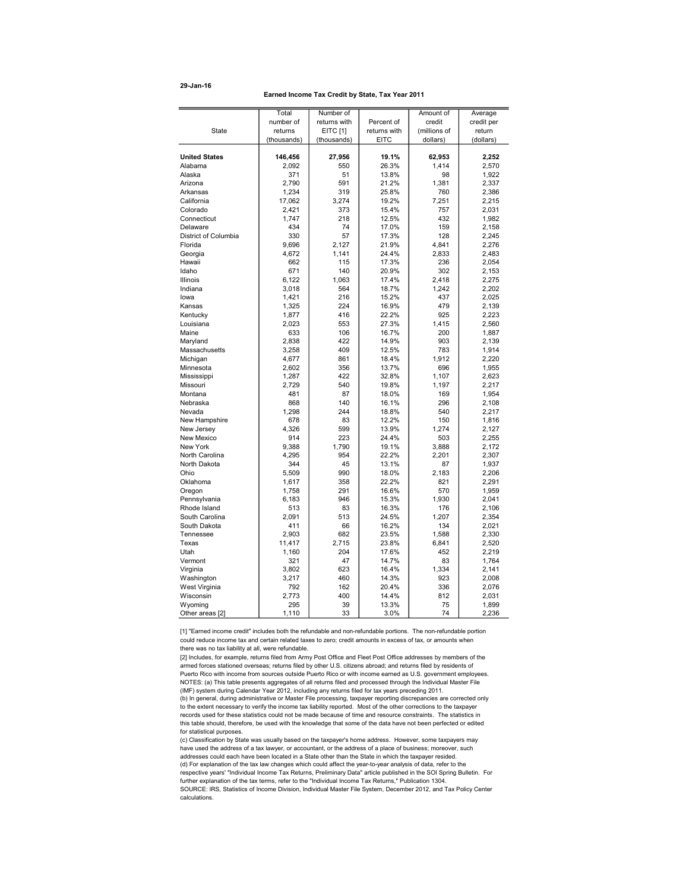# 29-Jan-16

Earned Income Tax Credit by State, Tax Year 2011

|                      | Total       | Number of    |              | Amount of    | Average        |
|----------------------|-------------|--------------|--------------|--------------|----------------|
|                      | number of   | returns with | Percent of   | credit       | credit per     |
| <b>State</b>         | returns     | EITC [1]     | returns with | (millions of | return         |
|                      | (thousands) | (thousands)  | <b>EITC</b>  | dollars)     | (dollars)      |
|                      |             |              |              |              |                |
| <b>United States</b> | 146,456     | 27,956       | 19.1%        | 62,953       | 2,252          |
| Alabama              | 2,092       | 550          | 26.3%        | 1.414        | 2,570          |
| Alaska               | 371         | 51           | 13.8%        | 98           | 1,922          |
| Arizona              | 2.790       | 591          | 21.2%        | 1.381        | 2,337          |
| Arkansas             | 1,234       | 319          | 25.8%        | 760          | 2,386          |
| California           | 17,062      | 3,274        | 19.2%        | 7,251        | 2,215          |
| Colorado             | 2.421       | 373          | 15.4%        | 757          | 2,031          |
| Connecticut          | 1,747       | 218          | 12.5%        | 432          | 1,982          |
| Delaware             | 434         | 74           | 17.0%        | 159          | 2,158          |
| District of Columbia | 330         | 57           | 17.3%        | 128          | 2,245          |
| Florida              | 9,696       | 2,127        | 21.9%        | 4,841        | 2,276          |
| Georgia              | 4,672       | 1,141        | 24.4%        | 2,833        | 2,483          |
| Hawaii               | 662         | 115          | 17.3%        | 236          | 2,054          |
| Idaho                | 671         | 140          | 20.9%        | 302          | 2,153          |
| Illinois             | 6,122       | 1,063        | 17.4%        | 2,418        | 2,275          |
| Indiana              | 3,018       | 564          | 18.7%        | 1,242        | 2,202          |
| lowa                 | 1,421       | 216          | 15.2%        | 437          | 2,025          |
| Kansas               | 1,325       | 224          | 16.9%        | 479          | 2,139          |
| Kentucky             | 1,877       | 416          | 22.2%        | 925          | 2,223          |
| Louisiana            | 2,023       | 553          | 27.3%        | 1,415        | 2,560          |
| Maine                | 633         | 106          | 16.7%        | 200          | 1,887          |
| Maryland             | 2,838       | 422          | 14.9%        | 903          | 2,139          |
| Massachusetts        | 3,258       | 409          | 12.5%        | 783          | 1,914          |
| Michigan             | 4,677       | 861          | 18.4%        | 1.912        | 2,220          |
| Minnesota            | 2,602       | 356          | 13.7%        | 696          | 1,955          |
| Mississippi          | 1,287       | 422          | 32.8%        | 1,107        | 2,623          |
| Missouri             | 2,729       | 540          | 19.8%        | 1,197        | 2,217          |
| Montana              | 481         | 87           | 18.0%        | 169          | 1,954          |
| Nebraska             | 868         | 140          | 16.1%        | 296          | 2,108          |
| Nevada               | 1,298       | 244          | 18.8%        | 540          | 2,217          |
| New Hampshire        | 678         | 83           | 12.2%        | 150          | 1,816          |
| New Jersey           | 4,326       | 599          | 13.9%        | 1,274        | 2,127          |
| New Mexico           | 914         | 223          | 24.4%        | 503          | 2,255          |
| <b>New York</b>      | 9,388       | 1,790        | 19.1%        | 3,888        | 2,172          |
| North Carolina       | 4,295       | 954          | 22.2%        | 2.201        | 2,307          |
| North Dakota         | 344         | 45           | 13.1%        | 87           | 1,937          |
| Ohio                 | 5,509       | 990          | 18.0%        | 2,183        | 2,206          |
| Oklahoma             | 1,617       | 358          | 22.2%        | 821          | 2,291          |
| Oregon               | 1,758       | 291          | 16.6%        | 570          | 1,959          |
| Pennsylvania         | 6,183       | 946          | 15.3%        | 1,930        | 2,041          |
| Rhode Island         | 513         | 83           | 16.3%        | 176          | 2,106          |
| South Carolina       | 2,091       | 513          | 24.5%        | 1,207        | 2,354          |
| South Dakota         | 411         | 66           | 16.2%        | 134          | 2.021          |
| Tennessee            | 2,903       | 682          | 23.5%        | 1,588        | 2,330          |
| Texas                | 11,417      | 2,715        | 23.8%        | 6,841        |                |
| Utah                 | 1,160       | 204          | 17.6%        | 452          | 2,520<br>2,219 |
|                      |             |              |              |              |                |
| Vermont              | 321         | 47           | 14.7%        | 83           | 1,764          |
| Virginia             | 3,802       | 623          | 16.4%        | 1,334        | 2,141          |
| Washington           | 3,217       | 460          | 14.3%        | 923          | 2,008          |
| West Virginia        | 792         | 162          | 20.4%        | 336          | 2,076          |
| Wisconsin            | 2,773       | 400          | 14.4%        | 812          | 2,031          |
| Wyoming              | 295         | 39           | 13.3%        | 75           | 1,899          |
| Other areas [2]      | 1.110       | 33           | 3.0%         | 74           | 2,236          |

[1] "Earned income credit" includes both the refundable and non-refundable portions. The non-refundable portion could reduce income tax and certain related taxes to zero; credit amounts in excess of tax, or amounts when there was no tax liability at all, were refundable.

[2] Includes, for example, returns filed from Army Post Office and Fleet Post Office addresses by members of the armed forces stationed overseas; returns filed by other U.S. citizens abroad; and returns filed by residents of Puerto Rico with income from sources outside Puerto Rico or with income earned as U.S. government employees. NOTES: (a) This table presents aggregates of all returns filed and processed through the Individual Master File (IMF) system during Calendar Year 2012, including any returns filed for tax years preceding 2011.

(b) In general, during administrative or Master File processing, taxpayer reporting discrepancies are corrected only to the extent necessary to verify the income tax liability reported. Most of the other corrections to the taxpayer records used for these statistics could not be made because of time and resource constraints. The statistics in this table should, therefore, be used with the knowledge that some of the data have not been perfected or edited for statistical purposes.

(c) Classification by State was usually based on the taxpayer's home address. However, some taxpayers may have used the address of a tax lawyer, or accountant, or the address of a place of business; moreover, such addresses could each have been located in a State other than the State in which the taxpayer resided. (d) For explanation of the tax law changes which could affect the year-to-year analysis of data, refer to the respective years' "Individual Income Tax Returns, Preliminary Data" article published in the SOI Spring Bulletin. For further explanation of the tax terms, refer to the "Individual Income Tax Returns," Publication 1304. SOURCE: IRS, Statistics of Income Division, Individual Master File System, December 2012, and Tax Policy Center calculations.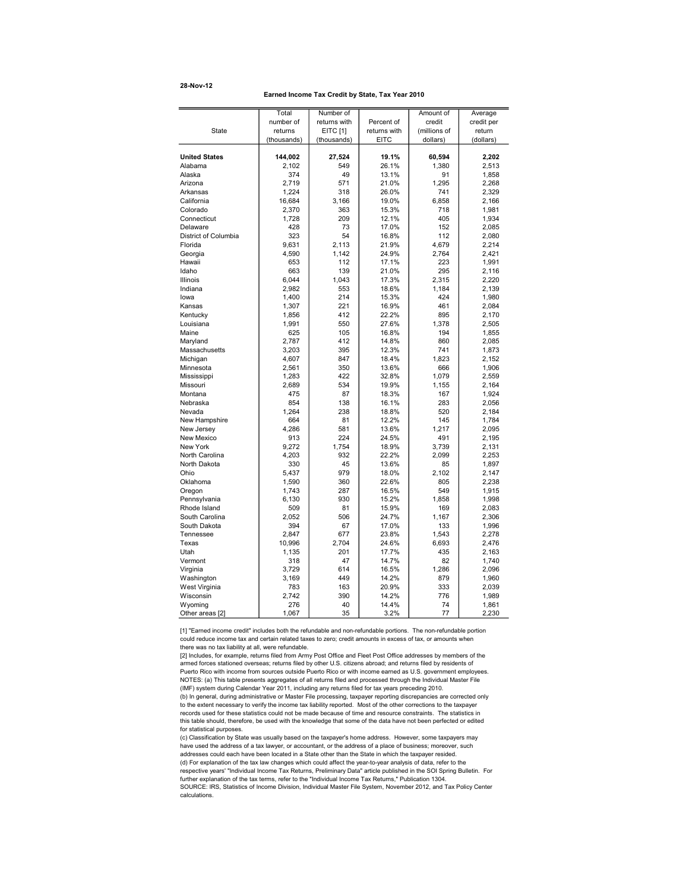# 28-Nov-12

Earned Income Tax Credit by State, Tax Year 2010

|                      | Total       | Number of    |              | Amount of    | Average    |
|----------------------|-------------|--------------|--------------|--------------|------------|
|                      | number of   | returns with | Percent of   | credit       | credit per |
| <b>State</b>         | returns     | EITC [1]     | returns with | (millions of | return     |
|                      | (thousands) | (thousands)  | <b>EITC</b>  | dollars)     | (dollars)  |
|                      |             |              |              |              |            |
| <b>United States</b> | 144,002     | 27,524       | 19.1%        | 60,594       | 2,202      |
| Alabama              | 2,102       | 549          | 26.1%        | 1,380        | 2,513      |
| Alaska               | 374         | 49           | 13.1%        | 91           | 1,858      |
| Arizona              | 2.719       | 571          | 21.0%        | 1.295        | 2.268      |
| Arkansas             | 1,224       | 318          | 26.0%        | 741          | 2,329      |
| California           | 16,684      | 3,166        | 19.0%        | 6,858        | 2,166      |
| Colorado             | 2,370       | 363          | 15.3%        | 718          | 1,981      |
| Connecticut          | 1,728       | 209          | 12.1%        | 405          | 1,934      |
| Delaware             | 428         | 73           | 17.0%        | 152          | 2,085      |
| District of Columbia | 323         | 54           | 16.8%        | 112          | 2,080      |
| Florida              | 9,631       | 2,113        | 21.9%        | 4,679        | 2,214      |
| Georgia              | 4,590       | 1,142        | 24.9%        | 2,764        | 2,421      |
| Hawaii               | 653         | 112          | 17.1%        | 223          | 1,991      |
| Idaho                | 663         | 139          | 21.0%        | 295          | 2.116      |
| <b>Illinois</b>      | 6,044       | 1,043        | 17.3%        | 2,315        | 2,220      |
| Indiana              | 2,982       | 553          | 18.6%        | 1,184        | 2,139      |
| lowa                 | 1,400       | 214          | 15.3%        | 424          | 1,980      |
| Kansas               | 1,307       | 221          | 16.9%        | 461          | 2,084      |
| Kentucky             | 1,856       | 412          | 22.2%        | 895          | 2,170      |
| Louisiana            | 1,991       | 550          | 27.6%        | 1,378        | 2,505      |
| Maine                | 625         | 105          | 16.8%        | 194          | 1,855      |
| Maryland             | 2,787       | 412          | 14.8%        | 860          | 2,085      |
| Massachusetts        | 3,203       | 395          | 12.3%        | 741          | 1,873      |
| Michigan             | 4,607       | 847          | 18.4%        | 1,823        | 2,152      |
| Minnesota            | 2,561       | 350          | 13.6%        | 666          | 1,906      |
| Mississippi          | 1,283       | 422          | 32.8%        | 1,079        | 2,559      |
| Missouri             | 2,689       | 534          | 19.9%        | 1,155        | 2,164      |
| Montana              | 475         | 87           | 18.3%        | 167          | 1,924      |
| Nebraska             | 854         | 138          | 16.1%        | 283          | 2,056      |
| Nevada               | 1,264       | 238          | 18.8%        | 520          | 2,184      |
| New Hampshire        | 664         | 81           | 12.2%        | 145          | 1,784      |
|                      |             |              |              |              |            |
| New Jersey           | 4,286       | 581          | 13.6%        | 1,217        | 2,095      |
| New Mexico           | 913         | 224          | 24.5%        | 491          | 2,195      |
| New York             | 9,272       | 1,754        | 18.9%        | 3,739        | 2,131      |
| North Carolina       | 4,203       | 932          | 22.2%        | 2,099        | 2,253      |
| North Dakota         | 330         | 45           | 13.6%        | 85           | 1,897      |
| Ohio                 | 5,437       | 979          | 18.0%        | 2,102        | 2,147      |
| Oklahoma             | 1,590       | 360          | 22.6%        | 805          | 2,238      |
| Oregon               | 1,743       | 287          | 16.5%        | 549          | 1,915      |
| Pennsylvania         | 6,130       | 930          | 15.2%        | 1,858        | 1,998      |
| Rhode Island         | 509         | 81           | 15.9%        | 169          | 2,083      |
| South Carolina       | 2,052       | 506          | 24.7%        | 1,167        | 2,306      |
| South Dakota         | 394         | 67           | 17.0%        | 133          | 1,996      |
| Tennessee            | 2,847       | 677          | 23.8%        | 1,543        | 2,278      |
| Texas                | 10,996      | 2,704        | 24.6%        | 6,693        | 2,476      |
| Utah                 | 1,135       | 201          | 17.7%        | 435          | 2,163      |
| Vermont              | 318         | 47           | 14.7%        | 82           | 1,740      |
| Virginia             | 3,729       | 614          | 16.5%        | 1,286        | 2,096      |
| Washington           | 3,169       | 449          | 14.2%        | 879          | 1,960      |
| West Virginia        | 783         | 163          | 20.9%        | 333          | 2,039      |
| Wisconsin            | 2,742       | 390          | 14.2%        | 776          | 1,989      |
| Wyoming              | 276         | 40           | 14.4%        | 74           | 1,861      |
| Other areas [2]      | 1,067       | 35           | 3.2%         | 77           | 2,230      |

[1] "Earned income credit" includes both the refundable and non-refundable portions. The non-refundable portion could reduce income tax and certain related taxes to zero; credit amounts in excess of tax, or amounts when there was no tax liability at all, were refundable.

[2] Includes, for example, returns filed from Army Post Office and Fleet Post Office addresses by members of the armed forces stationed overseas; returns filed by other U.S. citizens abroad; and returns filed by residents of Puerto Rico with income from sources outside Puerto Rico or with income earned as U.S. government employees. NOTES: (a) This table presents aggregates of all returns filed and processed through the Individual Master File (IMF) system during Calendar Year 2011, including any returns filed for tax years preceding 2010.

(b) In general, during administrative or Master File processing, taxpayer reporting discrepancies are corrected only<br>to the extent necessary to verify the income tax liability reported. Most of the other corrections to th records used for these statistics could not be made because of time and resource constraints. The statistics in this table should, therefore, be used with the knowledge that some of the data have not been perfected or edited for statistical purposes.

(c) Classification by State was usually based on the taxpayer's home address. However, some taxpayers may have used the address of a tax lawyer, or accountant, or the address of a place of business; moreover, such addresses could each have been located in a State other than the State in which the taxpayer resided. (d) For explanation of the tax law changes which could affect the year-to-year analysis of data, refer to the respective years' "Individual Income Tax Returns, Preliminary Data" article published in the SOI Spring Bulletin. For further explanation of the tax terms, refer to the "Individual Income Tax Returns," Publication 1304. SOURCE: IRS, Statistics of Income Division, Individual Master File System, November 2012, and Tax Policy Center calculations.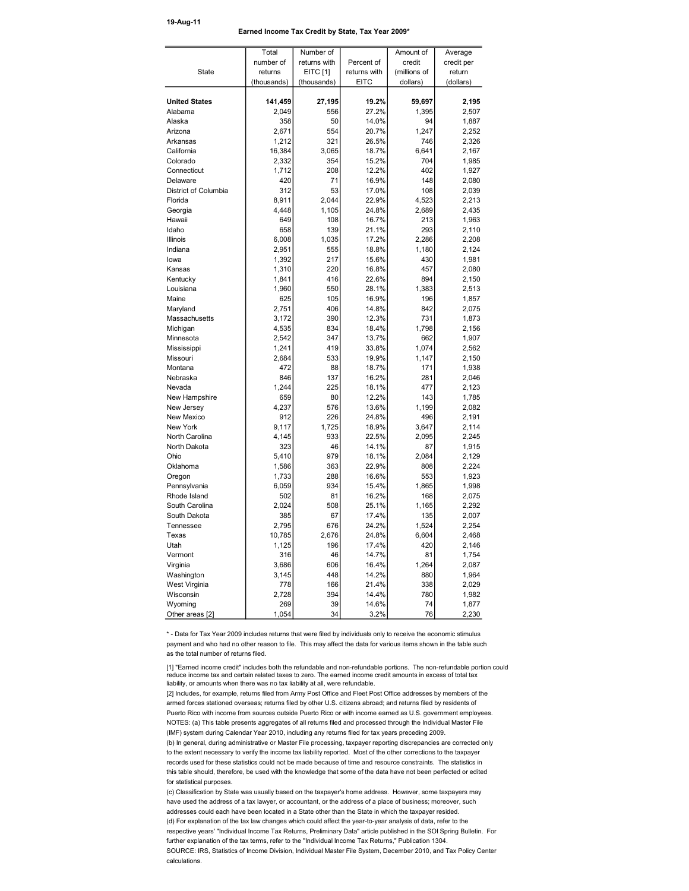## 19-Aug-11

## Earned Income Tax Credit by State, Tax Year 2009\*

|                      | Total       | Number of       |              | Amount of    | Average    |
|----------------------|-------------|-----------------|--------------|--------------|------------|
|                      | number of   | returns with    | Percent of   | credit       | credit per |
| <b>State</b>         | returns     | <b>EITC</b> [1] | returns with | (millions of | return     |
|                      | (thousands) | (thousands)     | <b>EITC</b>  | dollars)     | (dollars)  |
|                      |             |                 |              |              |            |
| <b>United States</b> | 141,459     | 27,195          | 19.2%        | 59,697       | 2,195      |
| Alabama              | 2,049       | 556             | 27.2%        | 1,395        | 2,507      |
| Alaska               | 358         | 50              | 14.0%        | 94           | 1,887      |
| Arizona              | 2,671       | 554             | 20.7%        | 1.247        | 2,252      |
| Arkansas             | 1,212       | 321             | 26.5%        | 746          | 2,326      |
| California           | 16,384      | 3.065           | 18.7%        | 6.641        | 2,167      |
| Colorado             | 2,332       | 354             | 15.2%        | 704          | 1,985      |
| Connecticut          | 1,712       | 208             | 12.2%        | 402          | 1,927      |
| Delaware             | 420         | 71              | 16.9%        | 148          | 2,080      |
| District of Columbia | 312         | 53              | 17.0%        | 108          | 2,039      |
| Florida              | 8,911       | 2,044           | 22.9%        | 4,523        | 2,213      |
| Georgia              | 4,448       | 1,105           | 24.8%        | 2,689        | 2,435      |
| Hawaii               | 649         | 108             | 16.7%        | 213          | 1,963      |
| Idaho                | 658         | 139             | 21.1%        | 293          | 2,110      |
| Illinois             | 6,008       | 1,035           | 17.2%        | 2,286        | 2,208      |
| Indiana              | 2,951       | 555             | 18.8%        | 1,180        | 2,124      |
| lowa                 | 1,392       | 217             | 15.6%        | 430          | 1,981      |
| Kansas               | 1,310       | 220             | 16.8%        | 457          | 2,080      |
| Kentucky             | 1,841       | 416             | 22.6%        | 894          | 2,150      |
| Louisiana            | 1,960       | 550             | 28.1%        | 1,383        | 2,513      |
| Maine                | 625         | 105             | 16.9%        | 196          | 1,857      |
| Maryland             | 2,751       | 406             | 14.8%        | 842          | 2,075      |
| Massachusetts        | 3,172       | 390             | 12.3%        | 731          | 1,873      |
| Michigan             | 4,535       | 834             | 18.4%        | 1,798        | 2,156      |
| Minnesota            | 2,542       | 347             | 13.7%        | 662          | 1,907      |
| Mississippi          | 1,241       | 419             | 33.8%        | 1,074        | 2,562      |
| Missouri             | 2,684       | 533             | 19.9%        | 1,147        | 2,150      |
| Montana              | 472         | 88              | 18.7%        | 171          | 1,938      |
| Nebraska             | 846         | 137             | 16.2%        | 281          | 2,046      |
| Nevada               | 1.244       | 225             | 18.1%        | 477          | 2,123      |
| New Hampshire        | 659         | 80              | 12.2%        | 143          | 1,785      |
| New Jersey           | 4.237       | 576             | 13.6%        | 1.199        | 2,082      |
| New Mexico           | 912         | 226             | 24.8%        | 496          | 2,191      |
| New York             | 9,117       | 1,725           | 18.9%        | 3,647        | 2,114      |
| North Carolina       | 4,145       | 933             | 22.5%        | 2,095        | 2,245      |
| North Dakota         | 323         | 46              | 14.1%        | 87           | 1,915      |
| Ohio                 | 5,410       | 979             | 18.1%        | 2,084        | 2,129      |
| Oklahoma             | 1,586       | 363             | 22.9%        | 808          | 2,224      |
| Oregon               | 1,733       | 288             | 16.6%        | 553          | 1,923      |
| Pennsylvania         | 6,059       | 934             | 15.4%        | 1,865        | 1,998      |
| Rhode Island         | 502         | 81              | 16.2%        | 168          |            |
| South Carolina       | 2,024       | 508             | 25.1%        | 1,165        | 2,075      |
|                      |             | 67              | 17.4%        |              | 2,292      |
| South Dakota         | 385         |                 |              | 135          | 2,007      |
| Tennessee            | 2,795       | 676             | 24.2%        | 1,524        | 2,254      |
| Texas                | 10,785      | 2,676           | 24.8%        | 6,604        | 2,468      |
| Utah                 | 1,125       | 196             | 17.4%        | 420          | 2,146      |
| Vermont              | 316         | 46              | 14.7%        | 81           | 1,754      |
| Virginia             | 3,686       | 606             | 16.4%        | 1,264        | 2,087      |
| Washington           | 3,145       | 448             | 14.2%        | 880          | 1,964      |
| West Virginia        | 778         | 166             | 21.4%        | 338          | 2,029      |
| Wisconsin            | 2,728       | 394             | 14.4%        | 780          | 1,982      |
| Wyoming              | 269         | 39              | 14.6%        | 74           | 1,877      |
| Other areas [2]      | 1,054       | 34              | 3.2%         | 76           | 2,230      |

\* - Data for Tax Year 2009 includes returns that were filed by individuals only to receive the economic stimulus payment and who had no other reason to file. This may affect the data for various items shown in the table such as the total number of returns filed.

[1] "Earned income credit" includes both the refundable and non-refundable portions. The non-refundable portion could reduce income tax and certain related taxes to zero. The earned income credit amounts in excess of total tax liability, or amounts when there was no tax liability at all, were refundable.

[2] Includes, for example, returns filed from Army Post Office and Fleet Post Office addresses by members of the armed forces stationed overseas; returns filed by other U.S. citizens abroad; and returns filed by residents of Puerto Rico with income from sources outside Puerto Rico or with income earned as U.S. government employees. NOTES: (a) This table presents aggregates of all returns filed and processed through the Individual Master File (IMF) system during Calendar Year 2010, including any returns filed for tax years preceding 2009. (b) In general, during administrative or Master File processing, taxpayer reporting discrepancies are corrected only to the extent necessary to verify the income tax liability reported. Most of the other corrections to the taxpayer records used for these statistics could not be made because of time and resource constraints. The statistics in this table should, therefore, be used with the knowledge that some of the data have not been perfected or edited for statistical purposes.

(c) Classification by State was usually based on the taxpayer's home address. However, some taxpayers may have used the address of a tax lawyer, or accountant, or the address of a place of business; moreover, such addresses could each have been located in a State other than the State in which the taxpayer resided. (d) For explanation of the tax law changes which could affect the year-to-year analysis of data, refer to the respective years' "Individual Income Tax Returns, Preliminary Data" article published in the SOI Spring Bulletin. For further explanation of the tax terms, refer to the "Individual Income Tax Returns," Publication 1304. SOURCE: IRS, Statistics of Income Division, Individual Master File System, December 2010, and Tax Policy Center calculations.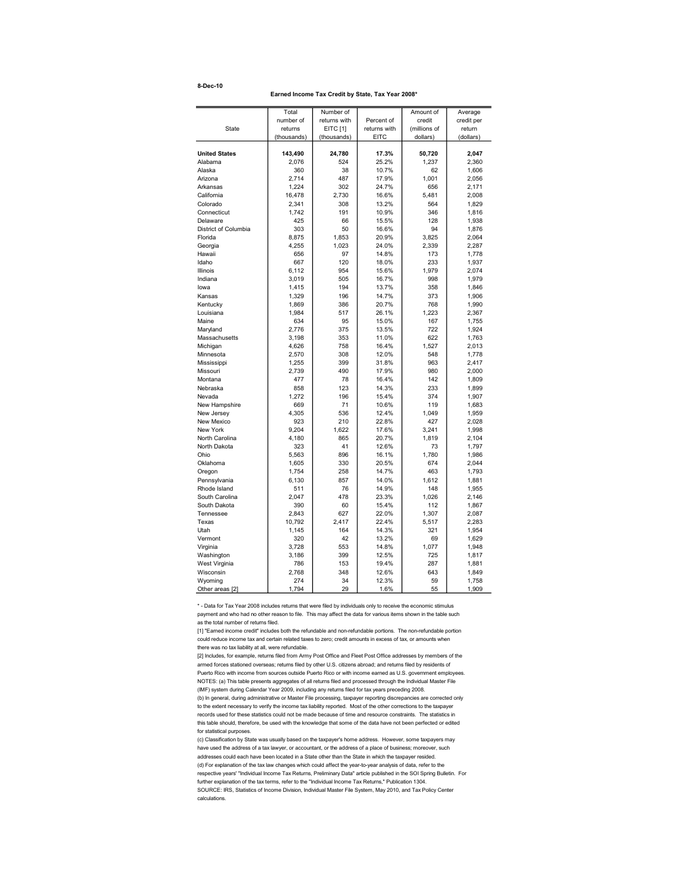#### 8-Dec-10

Earned Income Tax Credit by State, Tax Year 2008\*

|                      | Total       | Number of    |              | Amount of    | Average    |
|----------------------|-------------|--------------|--------------|--------------|------------|
|                      | number of   | returns with | Percent of   | credit       | credit per |
| State                | returns     | EITC [1]     | returns with | (millions of | return     |
|                      |             |              | <b>EITC</b>  | dollars)     |            |
|                      | (thousands) | (thousands)  |              |              | (dollars)  |
| <b>United States</b> | 143.490     | 24,780       | 17.3%        | 50,720       | 2,047      |
| Alabama              | 2,076       | 524          | 25.2%        | 1,237        | 2,360      |
| Alaska               | 360         | 38           | 10.7%        | 62           | 1,606      |
| Arizona              | 2,714       | 487          | 17.9%        | 1,001        | 2,056      |
| Arkansas             | 1,224       | 302          | 24.7%        | 656          | 2,171      |
| California           | 16,478      | 2,730        | 16.6%        | 5,481        | 2,008      |
| Colorado             | 2,341       | 308          | 13.2%        | 564          | 1,829      |
| Connecticut          | 1,742       | 191          | 10.9%        | 346          | 1,816      |
| Delaware             | 425         | 66           | 15.5%        | 128          | 1,938      |
| District of Columbia | 303         | 50           | 16.6%        | 94           | 1,876      |
| Florida              | 8,875       | 1,853        | 20.9%        | 3,825        | 2,064      |
| Georgia              | 4,255       | 1,023        | 24.0%        | 2,339        | 2,287      |
| Hawaii               | 656         | 97           | 14.8%        | 173          | 1,778      |
| Idaho                | 667         | 120          | 18.0%        | 233          | 1,937      |
| <b>Illinois</b>      | 6,112       | 954          | 15.6%        | 1,979        | 2,074      |
| Indiana              | 3,019       | 505          | 16.7%        | 998          | 1,979      |
| lowa                 | 1,415       | 194          | 13.7%        | 358          | 1,846      |
| Kansas               | 1,329       | 196          | 14.7%        | 373          | 1,906      |
| Kentucky             | 1,869       | 386          | 20.7%        | 768          | 1,990      |
| Louisiana            | 1,984       | 517          | 26.1%        | 1,223        | 2,367      |
| Maine                | 634         | 95           | 15.0%        | 167          | 1,755      |
| Maryland             | 2,776       | 375          | 13.5%        | 722          | 1,924      |
| Massachusetts        | 3,198       | 353          | 11.0%        | 622          | 1,763      |
| Michigan             | 4,626       | 758          | 16.4%        | 1,527        | 2,013      |
| Minnesota            | 2,570       | 308          | 12.0%        | 548          | 1,778      |
| Mississippi          | 1,255       | 399          | 31.8%        | 963          | 2,417      |
| Missouri             | 2,739       | 490          | 17.9%        | 980          | 2,000      |
| Montana              | 477         | 78           | 16.4%        | 142          | 1,809      |
| Nebraska             | 858         | 123          | 14.3%        | 233          | 1,899      |
| Nevada               | 1,272       | 196          | 15.4%        | 374          | 1,907      |
| New Hampshire        | 669         | 71           | 10.6%        | 119          | 1,683      |
| New Jersey           | 4,305       | 536          | 12.4%        | 1.049        | 1,959      |
| New Mexico           | 923         | 210          | 22.8%        | 427          | 2,028      |
| New York             | 9,204       | 1,622        | 17.6%        | 3,241        | 1,998      |
| North Carolina       | 4,180       | 865          | 20.7%        | 1.819        | 2,104      |
| North Dakota         | 323         | 41           | 12.6%        | 73           | 1,797      |
| Ohio                 | 5,563       | 896          | 16.1%        | 1,780        | 1,986      |
| Oklahoma             | 1,605       | 330          | 20.5%        | 674          | 2,044      |
| Oregon               | 1,754       | 258          | 14.7%        | 463          | 1,793      |
| Pennsylvania         | 6,130       | 857          | 14.0%        | 1,612        | 1,881      |
| Rhode Island         | 511         | 76           | 14.9%        | 148          | 1,955      |
| South Carolina       | 2,047       | 478          | 23.3%        | 1,026        | 2,146      |
| South Dakota         | 390         | 60           | 15.4%        | 112          | 1,867      |
| Tennessee            | 2,843       | 627          | 22.0%        | 1,307        | 2,087      |
| Texas                | 10,792      | 2,417        | 22.4%        | 5,517        | 2,283      |
| Utah                 | 1,145       | 164          | 14.3%        | 321          | 1,954      |
| Vermont              | 320         | 42           | 13.2%        | 69           | 1,629      |
| Virginia             | 3,728       | 553          | 14.8%        | 1,077        | 1,948      |
| Washington           | 3,186       | 399          | 12.5%        | 725          | 1,817      |
| West Virginia        | 786         | 153          | 19.4%        | 287          | 1,881      |
| Wisconsin            | 2,768       | 348          | 12.6%        | 643          | 1,849      |
| Wyoming              | 274         | 34           | 12.3%        | 59           | 1,758      |
| Other areas [2]      | 1,794       | 29           | 1.6%         | 55           | 1,909      |

\* - Data for Tax Year 2008 includes returns that were filed by individuals only to receive the economic stimulus payment and who had no other reason to file. This may affect the data for various items shown in the table such as the total number of returns filed.

[1] "Earned income credit" includes both the refundable and non-refundable portions. The non-refundable portion could reduce income tax and certain related taxes to zero; credit amounts in excess of tax, or amounts when there was no tax liability at all, were refundable.

[2] Includes, for example, returns filed from Army Post Office and Fleet Post Office addresses by members of the rmed forces stationed overseas; returns filed by other U.S. citizens abroad; and returns filed by residents of Puerto Rico with income from sources outside Puerto Rico or with income earned as U.S. government employees. NOTES: (a) This table presents aggregates of all returns filed and processed through the Individual Master File (IMF) system during Calendar Year 2009, including any returns filed for tax years preceding 2008. (b) In general, during administrative or Master File processing, taxpayer reporting discrepancies are corrected only to the extent necessary to verify the income tax liability reported. Most of the other corrections to the taxpayer records used for these statistics could not be made because of time and resource constraints. The statistics in this table should, therefore, be used with the knowledge that some of the data have not been perfected or edited for statistical purposes.

(c) Classification by State was usually based on the taxpayer's home address. However, some taxpayers may have used the address of a tax lawyer, or accountant, or the address of a place of business; moreover, such addresses could each have been located in a State other than the State in which the taxpayer resided. (d) For explanation of the tax law changes which could affect the year-to-year analysis of data, refer to the respective years' "Individual Income Tax Returns, Preliminary Data" article published in the SOI Spring Bulletin. For further explanation of the tax terms, refer to the "Individual Income Tax Returns," Publication 1304. SOURCE: IRS, Statistics of Income Division, Individual Master File System, May 2010, and Tax Policy Center calculations.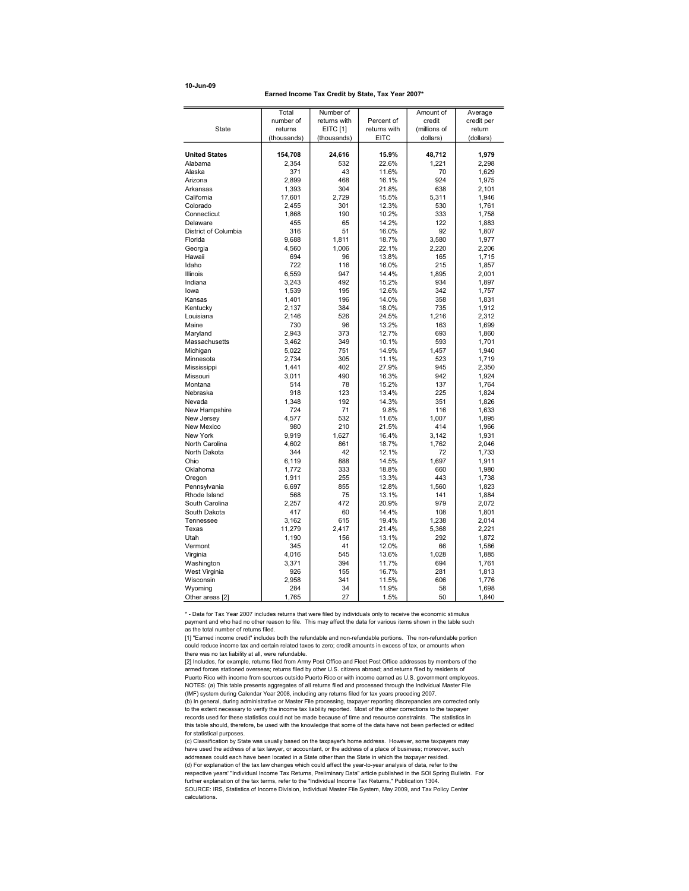#### 10-Jun-09

Earned Income Tax Credit by State, Tax Year 2007\*

|                      | Total       | Number of       |                | Amount of      | Average    |
|----------------------|-------------|-----------------|----------------|----------------|------------|
|                      | number of   | returns with    | Percent of     | credit         | credit per |
| <b>State</b>         | returns     | <b>EITC</b> [1] | returns with   | (millions of   | return     |
|                      | (thousands) | (thousands)     | <b>EITC</b>    | dollars)       | (dollars)  |
|                      |             |                 |                |                |            |
| <b>United States</b> | 154,708     | 24,616          | 15.9%          | 48,712         | 1,979      |
| Alabama              | 2,354       | 532             | 22.6%          | 1.221          | 2,298      |
| Alaska               | 371         | 43              | 11.6%          | 70             | 1,629      |
| Arizona              | 2,899       | 468             | 16.1%          | 924            | 1,975      |
| Arkansas             | 1,393       | 304             | 21.8%          | 638            | 2,101      |
| California           | 17,601      | 2,729           | 15.5%          | 5,311          | 1,946      |
| Colorado             | 2,455       | 301             | 12.3%          | 530            | 1,761      |
| Connecticut          | 1,868       | 190             | 10.2%          | 333            | 1,758      |
| Delaware             | 455         | 65              | 14.2%          | 122            | 1,883      |
| District of Columbia | 316         | 51              | 16.0%          | 92             | 1,807      |
| Florida              | 9,688       | 1,811           | 18.7%          | 3,580          | 1,977      |
| Georgia              | 4,560       | 1,006           | 22.1%          | 2,220          | 2,206      |
| Hawaii               | 694         | 96              | 13.8%          | 165            | 1,715      |
| Idaho                | 722         | 116             | 16.0%          | 215            | 1,857      |
| <b>Illinois</b>      | 6,559       | 947             | 14.4%          | 1,895          | 2,001      |
| Indiana              | 3,243       | 492             | 15.2%          | 934            | 1,897      |
| lowa                 | 1,539       | 195             | 12.6%          | 342            | 1,757      |
| Kansas               | 1,401       | 196             | 14.0%          | 358            | 1,831      |
| Kentucky             | 2,137       | 384             | 18.0%          | 735            | 1,912      |
| Louisiana            | 2,146       | 526             | 24.5%          | 1,216          | 2,312      |
| Maine                | 730         | 96              | 13.2%          | 163            | 1,699      |
| Maryland             | 2,943       | 373             | 12.7%          | 693            | 1,860      |
| Massachusetts        | 3,462       | 349             | 10.1%          | 593            | 1,701      |
| Michigan             | 5,022       | 751             | 14.9%          | 1,457          | 1,940      |
| Minnesota            | 2,734       | 305             | 11.1%          | 523            | 1,719      |
| Mississippi          | 1,441       | 402             | 27.9%          | 945            | 2,350      |
| Missouri             | 3,011       | 490             | 16.3%          | 942            | 1,924      |
| Montana              | 514         | 78              | 15.2%          | 137            | 1,764      |
| Nebraska             | 918         | 123             | 13.4%          | 225            | 1,824      |
| Nevada               | 1,348       | 192             | 14.3%          | 351            | 1,826      |
| New Hampshire        | 724         | 71              | 9.8%           | 116            | 1,633      |
| New Jersey           | 4.577       | 532             | 11.6%          | 1.007          | 1,895      |
| New Mexico           | 980         |                 |                | 414            |            |
| New York             |             | 210             | 21.5%          |                | 1,966      |
| North Carolina       | 9,919       | 1,627<br>861    | 16.4%<br>18.7% | 3,142<br>1.762 | 1,931      |
| North Dakota         | 4,602       | 42              |                |                | 2,046      |
|                      | 344         |                 | 12.1%          | 72             | 1,733      |
| Ohio                 | 6,119       | 888             | 14.5%          | 1,697          | 1,911      |
| Oklahoma             | 1,772       | 333             | 18.8%          | 660            | 1,980      |
| Oregon               | 1,911       | 255             | 13.3%          | 443            | 1,738      |
| Pennsylvania         | 6,697       | 855             | 12.8%          | 1,560          | 1,823      |
| Rhode Island         | 568         | 75              | 13.1%          | 141            | 1,884      |
| South Carolina       | 2,257       | 472             | 20.9%          | 979            | 2,072      |
| South Dakota         | 417         | 60              | 14.4%          | 108            | 1,801      |
| Tennessee            | 3,162       | 615             | 19.4%          | 1,238          | 2,014      |
| Texas                | 11,279      | 2,417           | 21.4%          | 5,368          | 2,221      |
| Utah                 | 1,190       | 156             | 13.1%          | 292            | 1,872      |
| Vermont              | 345         | 41              | 12.0%          | 66             | 1,586      |
| Virginia             | 4,016       | 545             | 13.6%          | 1,028          | 1,885      |
| Washington           | 3,371       | 394             | 11.7%          | 694            | 1,761      |
| West Virginia        | 926         | 155             | 16.7%          | 281            | 1,813      |
| Wisconsin            | 2,958       | 341             | 11.5%          | 606            | 1,776      |
| Wyoming              | 284         | 34              | 11.9%          | 58             | 1,698      |
| Other areas [2]      | 1,765       | 27              | 1.5%           | 50             | 1,840      |

\* - Data for Tax Year 2007 includes returns that were filed by individuals only to receive the economic stimulus payment and who had no other reason to file. This may affect the data for various items shown in the table such as the total number of returns filed.

[1] "Earned income credit" includes both the refundable and non-refundable portions. The non-refundable portion could reduce income tax and certain related taxes to zero; credit amounts in excess of tax, or amounts when there was no tax liability at all, were refundable.

[2] Includes, for example, returns filed from Army Post Office and Fleet Post Office addresses by members of the armed forces stationed overseas; returns filed by other U.S. citizens abroad; and returns filed by residents of Puerto Rico with income from sources outside Puerto Rico or with income earned as U.S. government employees. NOTES: (a) This table presents aggregates of all returns filed and processed through the Individual Master File (IMF) system during Calendar Year 2008, including any returns filed for tax years preceding 2007.

(b) In general, during administrative or Master File processing, taxpayer reporting discrepancies are corrected only to the extent necessary to verify the income tax liability reported. Most of the other corrections to the taxpayer records used for these statistics could not be made because of time and resource constraints. The statistics in this table should, therefore, be used with the knowledge that some of the data have not been perfected or edited for statistical purposes.

(c) Classification by State was usually based on the taxpayer's home address. However, some taxpayers may have used the address of a tax lawyer, or accountant, or the address of a place of business; moreover, such addresses could each have been located in a State other than the State in which the taxpayer resided. (d) For explanation of the tax law changes which could affect the year-to-year analysis of data, refer to the respective years' "Individual Income Tax Returns, Preliminary Data" article published in the SOI Spring Bulletin. For further explanation of the tax terms, refer to the "Individual Income Tax Returns," Publication 1304. SOURCE: IRS, Statistics of Income Division, Individual Master File System, May 2009, and Tax Policy Center calculations.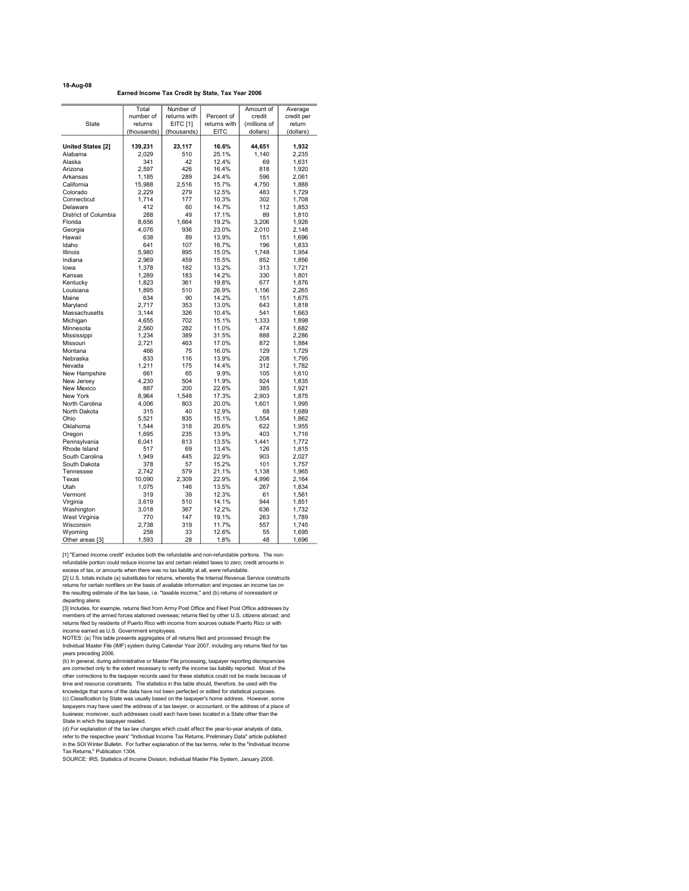#### 18-Aug-08

#### Earned Income Tax Credit by State, Tax Year 2006

|                          | Total       | Number of       |              | Amount of    | Average    |
|--------------------------|-------------|-----------------|--------------|--------------|------------|
|                          | number of   | returns with    | Percent of   | credit       | credit per |
| State                    | returns     | <b>EITC [1]</b> | returns with | (millions of | return     |
|                          | (thousands) | (thousands)     | <b>EITC</b>  | dollars)     | (dollars)  |
|                          |             |                 |              |              |            |
| <b>United States [2]</b> | 139,231     | 23,117          | 16.6%        | 44,651       | 1,932      |
| Alabama                  | 2,029       | 510             | 25.1%        | 1.140        | 2,235      |
| Alaska                   | 341         | 42              | 12.4%        | 69           | 1,631      |
| Arizona                  | 2,597       | 426             | 16.4%        | 818          | 1,920      |
| Arkansas                 | 1,185       | 289             | 24.4%        | 596          | 2,061      |
| California               | 15,988      | 2,516           | 15.7%        | 4.750        | 1,888      |
| Colorado                 | 2,229       | 279             | 12.5%        | 483          | 1,729      |
| Connecticut              | 1,714       | 177             | 10.3%        | 302          | 1,708      |
| Delaware                 | 412         | 60              | 14.7%        | 112          | 1,853      |
| District of Columbia     | 288         | 49              | 17.1%        | 89           | 1,810      |
| Florida                  | 8,656       | 1,664           | 19.2%        | 3.206        | 1,926      |
| Georgia                  | 4,076       | 936             | 23.0%        | 2.010        | 2,148      |
| Hawaii                   | 638         | 89              | 13.9%        | 151          | 1,696      |
| Idaho                    | 641         | 107             | 16.7%        | 196          | 1,833      |
| <b>Illinois</b>          | 5,980       | 895             | 15.0%        | 1,748        | 1,954      |
| Indiana                  | 2.969       | 459             | 15.5%        | 852          | 1,856      |
| lowa                     | 1,378       | 182             | 13.2%        | 313          | 1,721      |
| Kansas                   | 1,289       | 183             | 14.2%        | 330          | 1,801      |
| Kentucky                 | 1,823       | 361             | 19.8%        | 677          | 1,876      |
| Louisiana                | 1,895       | 510             | 26.9%        | 1,156        | 2,265      |
| Maine                    | 634         | 90              | 14.2%        | 151          | 1,675      |
| Maryland                 | 2.717       | 353             | 13.0%        | 643          | 1,818      |
| Massachusetts            | 3.144       | 326             | 10.4%        | 541          | 1,663      |
| Michigan                 | 4,655       | 702             | 15.1%        | 1,333        | 1,898      |
| Minnesota                | 2,560       | 282             | 11.0%        | 474          | 1,682      |
| Mississippi              | 1,234       | 389             | 31.5%        | 888          | 2,286      |
| Missouri                 | 2,721       | 463             | 17.0%        | 872          | 1,884      |
| Montana                  | 466         | 75              | 16.0%        | 129          | 1,729      |
| Nebraska                 | 833         | 116             | 13.9%        | 208          | 1,795      |
| Nevada                   | 1.211       | 175             | 14.4%        | 312          | 1,782      |
| New Hampshire            | 661         | 65              | 9.9%         | 105          | 1,610      |
| New Jersey               | 4,230       | 504             | 11.9%        | 924          | 1,835      |
| New Mexico               | 887         | 200             | 22.6%        | 385          | 1,921      |
| New York                 | 8,964       | 1,548           | 17.3%        | 2,903        | 1,875      |
| North Carolina           | 4,006       | 803             | 20.0%        | 1,601        | 1,995      |
| North Dakota             | 315         | 40              | 12.9%        | 68           | 1,689      |
| Ohio                     | 5.521       | 835             | 15.1%        | 1,554        | 1,862      |
| Oklahoma                 | 1,544       | 318             | 20.6%        | 622          | 1,955      |
| Oregon                   | 1,695       | 235             | 13.9%        | 403          | 1,716      |
| Pennsylvania             | 6,041       | 813             | 13.5%        | 1.441        | 1,772      |
| Rhode Island             | 517         | 69              | 13.4%        | 126          | 1,815      |
| South Carolina           | 1,949       | 445             | 22.9%        | 903          | 2,027      |
| South Dakota             | 378         | 57              | 15.2%        | 101          | 1,757      |
| Tennessee                | 2.742       | 579             | 21.1%        | 1,138        | 1,965      |
| Texas                    | 10,090      | 2,309           | 22.9%        | 4,996        | 2,164      |
| Utah                     | 1,075       | 146             | 13.5%        | 267          | 1,834      |
| Vermont                  | 319         | 39              | 12.3%        | 61           | 1,561      |
| Virginia                 | 3.619       | 510             | 14.1%        | 944          | 1,851      |
| Washington               | 3,018       | 367             | 12.2%        | 636          | 1,732      |
| West Virginia            | 770         | 147             | 19.1%        | 263          | 1,789      |
| Wisconsin                | 2,738       | 319             | 11.7%        | 557          | 1,745      |
| Wyoming                  | 258         | 33              | 12.6%        | 55           | 1,695      |
| Other areas [3]          | 1,593       | 28              | 1.8%         | 48           | 1,696      |

[1] "Earned income credit" includes both the refundable and non-refundable portions. The nonrefundable portion could reduce income tax and certain related taxes to zero; credit amounts in

excess of tax, or amounts when there was no tax liability at all, were refundable. [2] U.S. totals include (a) substitutes for returns, whereby the Internal Revenue Service constructs returns for certain nonfilers on the basis of available information and imposes an income tax on

the resulting estimate of the tax base, i.e. "taxable income," and (b) returns of nonresident or departing aliens.

[3] Includes, for example, returns filed from Army Post Office and Fleet Post Office addresses by members of the armed forces stationed overseas; returns filed by other U.S. citizens abroad; and returns filed by residents of Puerto Rico with income from sources outside Puerto Rico or with income earned as U.S. Government employees.

NOTES: (a) This table presents aggregates of all returns filed and processed through the Individual Master File (IMF) system during Calendar Year 2007, including any returns filed for tax years preceding 2006.

(b) In general, during administrative or Master File processing, taxpayer reporting discrepancies are corrected only to the extent necessary to verify the income tax liability reported. Most of the other corrections to the taxpayer records used for these statistics could not be made because of time and resource constraints. The statistics in this table should, therefore, be used with the knowledge that some of the data have not been perfected or edited for statistical purposes. (c) Classification by State was usually based on the taxpayer's home address. However, some taxpayers may have used the address of a tax lawyer, or accountant, or the address of a place of business; moreover, such addresses could each have been located in a State other than the

State in which the taxpayer resided. (d) For explanation of the tax law changes which could affect the year-to-year analysis of data,

refer to the respective years' "Individual Income Tax Returns, Preliminary Data" article published in the SOI Winter Bulletin. For further explanation of the tax terms, refer to the "Individual Income Tax Returns," Publication 1304.

SOURCE: IRS, Statistics of Income Division, Individual Master File System, January 2008.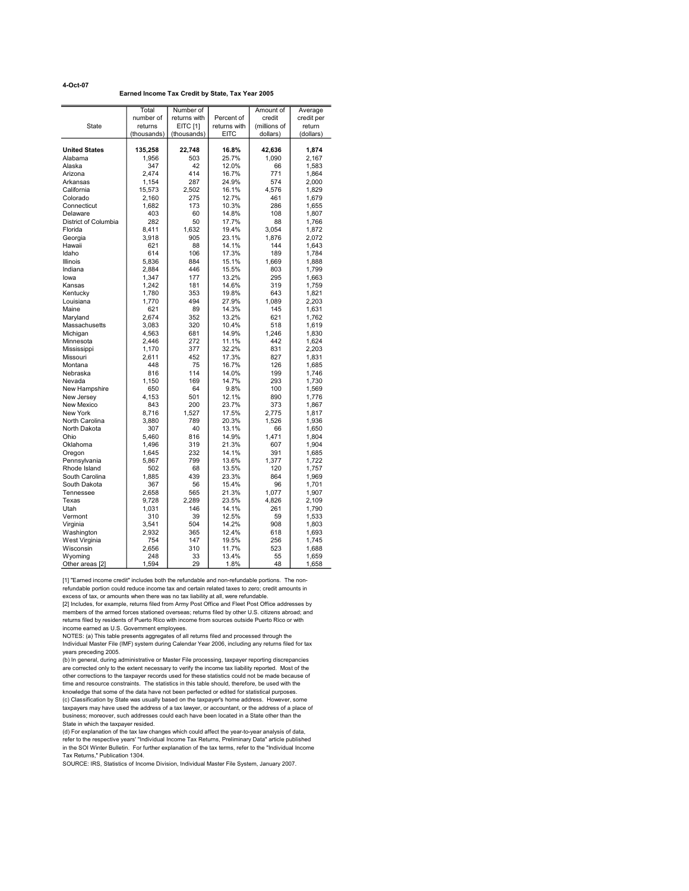#### 4-Oct-07

#### Earned Income Tax Credit by State, Tax Year 2005

|                      | Total       | Number of       |                | Amount of    | Average    |
|----------------------|-------------|-----------------|----------------|--------------|------------|
|                      | number of   | returns with    | Percent of     | credit       | credit per |
| <b>State</b>         | returns     | <b>EITC [1]</b> | returns with   | (millions of | return     |
|                      | (thousands) | (thousands)     | <b>EITC</b>    | dollars)     | (dollars)  |
|                      |             |                 |                |              |            |
| <b>United States</b> | 135,258     | 22,748          | 16.8%          | 42,636       | 1,874      |
| Alabama              | 1,956       | 503             | 25.7%          | 1,090        | 2,167      |
| Alaska               | 347         | 42              | 12.0%          | 66           | 1,583      |
| Arizona              | 2.474       | 414             | 16.7%          | 771          | 1,864      |
| Arkansas             | 1,154       | 287             | 24.9%          | 574          | 2,000      |
| California           | 15,573      | 2,502           | 16.1%          | 4,576        | 1,829      |
| Colorado             | 2,160       | 275             | 12.7%          | 461          | 1.679      |
| Connecticut          | 1,682       | 173             | 10.3%          | 286          | 1,655      |
| Delaware             | 403         | 60              | 14.8%          | 108          | 1,807      |
| District of Columbia | 282         | 50              | 17.7%          | 88           | 1,766      |
| Florida              | 8,411       | 1,632           | 19.4%          | 3,054        | 1,872      |
| Georgia              | 3,918       | 905             | 23.1%          | 1,876        | 2,072      |
| Hawaii               | 621         | 88              | 14.1%          | 144          | 1,643      |
| Idaho                | 614         | 106             | 17.3%          | 189          | 1,784      |
| <b>Illinois</b>      | 5.836       | 884             | 15.1%          | 1.669        | 1,888      |
| Indiana              | 2.884       | 446             | 15.5%          | 803          | 1,799      |
| lowa                 | 1,347       | 177             | 13.2%          | 295          | 1,663      |
| Kansas               | 1,242       | 181             | 14.6%          | 319          | 1,759      |
| Kentucky             | 1,780       | 353             | 19.8%          | 643          | 1,821      |
| Louisiana            | 1,770       | 494             | 27.9%          | 1,089        | 2,203      |
| Maine                | 621         | 89              | 14.3%          | 145          | 1,631      |
| Maryland             | 2,674       | 352             | 13.2%          | 621          | 1,762      |
| Massachusetts        | 3,083       | 320             | 10.4%          | 518          | 1,619      |
| Michigan             | 4.563       | 681             | 14.9%          | 1.246        | 1,830      |
| Minnesota            | 2,446       | 272             | 11.1%          | 442          | 1,624      |
| Mississippi          | 1,170       | 377             | 32.2%          | 831          | 2,203      |
| Missouri             | 2,611       | 452             | 17.3%          | 827          | 1,831      |
| Montana              | 448         | 75              | 16.7%          | 126          | 1,685      |
| Nebraska             | 816         | 114             | 14.0%          | 199          | 1,746      |
| Nevada               | 1,150       | 169             | 14.7%          | 293          | 1,730      |
| New Hampshire        | 650         | 64              | 9.8%           | 100          | 1,569      |
| New Jersev           | 4,153       | 501             | 12.1%          | 890          | 1,776      |
| New Mexico           | 843         | 200             | 23.7%          | 373          | 1,867      |
| New York             | 8,716       | 1,527           | 17.5%          | 2,775        | 1,817      |
| North Carolina       | 3,880       | 789             | 20.3%          | 1,526        | 1,936      |
| North Dakota         | 307         | 40              | 13.1%          | 66           | 1,650      |
| Ohio                 | 5,460       | 816             | 14.9%          | 1,471        | 1,804      |
| Oklahoma             | 1,496       | 319             | 21.3%          | 607          | 1,904      |
| Oregon               | 1,645       | 232             | 14.1%          | 391          | 1,685      |
| Pennsylvania         | 5,867       | 799             | 13.6%          | 1,377        | 1,722      |
| Rhode Island         | 502         | 68              | 13.5%          | 120          | 1,757      |
| South Carolina       | 1,885       | 439             | 23.3%          | 864          | 1,969      |
| South Dakota         | 367         | 56              | 15.4%          | 96           | 1,701      |
|                      |             | 565             | 21.3%          | 1.077        |            |
| Tennessee<br>Texas   | 2,658       |                 |                |              | 1,907      |
|                      | 9,728       | 2,289           | 23.5%<br>14.1% | 4,826        | 2,109      |
| Utah                 | 1.031       | 146             |                | 261          | 1,790      |
| Vermont              | 310         | 39              | 12.5%          | 59           | 1,533      |
| Virginia             | 3,541       | 504             | 14.2%          | 908          | 1,803      |
| Washington           | 2,932       | 365             | 12.4%          | 618          | 1,693      |
| West Virginia        | 754         | 147             | 19.5%          | 256          | 1,745      |
| Wisconsin            | 2,656       | 310             | 11.7%          | 523          | 1,688      |
| Wyoming              | 248         | 33              | 13.4%          | 55           | 1,659      |
| Other areas [2]      | 1,594       | 29              | 1.8%           | 48           | 1,658      |

[1] "Earned income credit" includes both the refundable and non-refundable portions. The nonrefundable portion could reduce income tax and certain related taxes to zero; credit amounts in excess of tax, or amounts when there was no tax liability at all, were refundable.

[2] Includes, for example, returns filed from Army Post Office and Fleet Post Office addresses by members of the armed forces stationed overseas; returns filed by other U.S. citizens abroad; and returns filed by residents of Puerto Rico with income from sources outside Puerto Rico or with income earned as U.S. Government employees.

NOTES: (a) This table presents aggregates of all returns filed and processed through the Individual Master File (IMF) system during Calendar Year 2006, including any returns filed for tax years preceding 2005.

(b) In general, during administrative or Master File processing, taxpayer reporting discrepancies are corrected only to the extent necessary to verify the income tax liability reported. Most of the other corrections to the taxpayer records used for these statistics could not be made because of time and resource constraints. The statistics in this table should, therefore, be used with the knowledge that some of the data have not been perfected or edited for statistical purposes. (c) Classification by State was usually based on the taxpayer's home address. However, some taxpayers may have used the address of a tax lawyer, or accountant, or the address of a place of business; moreover, such addresses could each have been located in a State other than the

State in which the taxpayer resided. (d) For explanation of the tax law changes which could affect the year-to-year analysis of data, refer to the respective years' "Individual Income Tax Returns, Preliminary Data" article published in the SOI Winter Bulletin. For further explanation of the tax terms, refer to the "Individual Income Tax Returns," Publication 1304.

SOURCE: IRS, Statistics of Income Division, Individual Master File System, January 2007.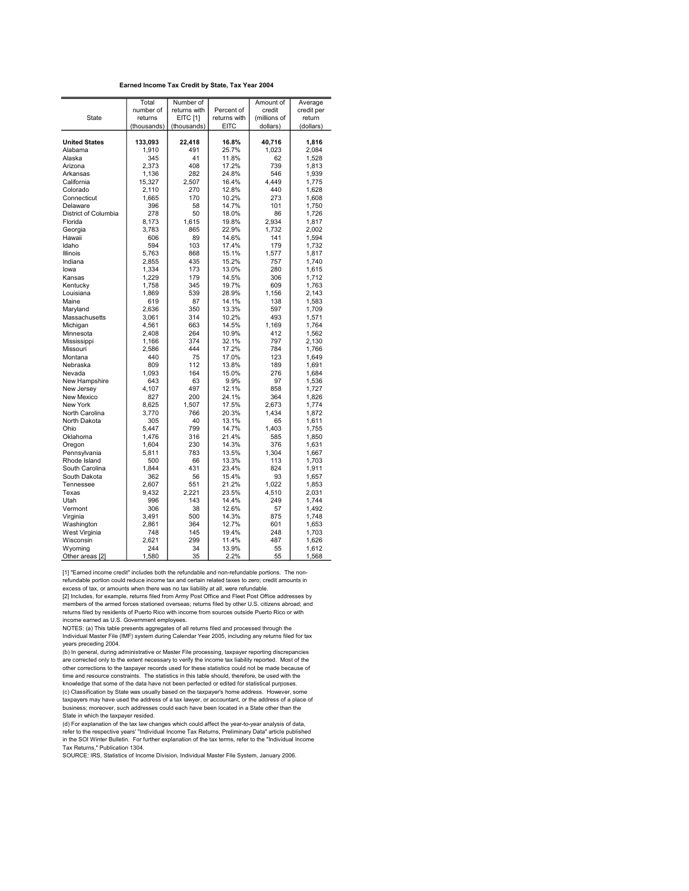|                      | Total       | Number of       |              | Amount of    | Average    |
|----------------------|-------------|-----------------|--------------|--------------|------------|
|                      | number of   | returns with    | Percent of   | credit       | credit per |
| State                | returns     | <b>EITC [1]</b> | returns with | (millions of | return     |
|                      | (thousands) | (thousands)     | <b>EITC</b>  | dollars)     | (dollars)  |
|                      |             |                 |              |              |            |
| <b>United States</b> | 133,093     | 22,418          | 16.8%        | 40,716       | 1,816      |
| Alabama              | 1,910       | 491             | 25.7%        | 1,023        | 2,084      |
| Alaska               | 345         | 41              | 11.8%        | 62           | 1.528      |
| Arizona              | 2,373       | 408             | 17.2%        | 739          | 1,813      |
| Arkansas             | 1,136       | 282             | 24.8%        | 546          | 1,939      |
| California           | 15,327      | 2,507           | 16.4%        | 4,449        | 1,775      |
| Colorado             | 2,110       | 270             | 12.8%        | 440          | 1,628      |
| Connecticut          | 1,665       | 170             | 10.2%        | 273          | 1,608      |
| Delaware             | 396         | 58              | 14.7%        | 101          | 1,750      |
| District of Columbia | 278         | 50              | 18.0%        | 86           | 1,726      |
| Florida              | 8,173       | 1,615           | 19.8%        | 2,934        | 1,817      |
| Georgia              | 3.783       | 865             | 22.9%        | 1.732        | 2.002      |
| Hawaii               | 606         | 89              | 14.6%        | 141          | 1,594      |
| Idaho                | 594         | 103             | 17.4%        | 179          | 1,732      |
| <b>Illinois</b>      | 5,763       | 868             | 15.1%        | 1,577        | 1,817      |
| Indiana              | 2,855       | 435             | 15.2%        | 757          | 1,740      |
| lowa                 | 1,334       | 173             | 13.0%        | 280          | 1,615      |
| Kansas               | 1,229       | 179             | 14.5%        | 306          | 1,712      |
| Kentucky             | 1,758       | 345             | 19.7%        | 609          | 1,763      |
| Louisiana            | 1,869       | 539             | 28.9%        | 1,156        | 2,143      |
| Maine                | 619         | 87              | 14.1%        | 138          | 1,583      |
| Maryland             | 2.636       | 350             | 13.3%        | 597          | 1,709      |
| Massachusetts        | 3,061       | 314             | 10.2%        | 493          | 1,571      |
| Michigan             | 4,561       | 663             | 14.5%        | 1,169        | 1,764      |
| Minnesota            | 2,408       | 264             | 10.9%        | 412          | 1,562      |
| Mississippi          | 1,166       | 374             | 32.1%        | 797          | 2,130      |
| Missouri             | 2,586       | 444             | 17.2%        | 784          | 1,766      |
| Montana              | 440         | 75              | 17.0%        | 123          | 1,649      |
| Nebraska             | 809         | 112             | 13.8%        | 189          | 1,691      |
| Nevada               | 1.093       | 164             | 15.0%        | 276          | 1,684      |
| New Hampshire        | 643         | 63              | 9.9%         | 97           | 1,536      |
| New Jersey           | 4,107       | 497             | 12.1%        | 858          | 1,727      |
| New Mexico           | 827         | 200             | 24.1%        | 364          | 1.826      |
| New York             | 8,625       | 1,507           | 17.5%        | 2,673        | 1,774      |
| North Carolina       | 3,770       | 766             | 20.3%        | 1,434        | 1,872      |
| North Dakota         | 305         | 40              | 13.1%        | 65           | 1,611      |
| Ohio                 | 5.447       | 799             | 14.7%        | 1,403        | 1,755      |
| Oklahoma             | 1,476       | 316             | 21.4%        | 585          | 1,850      |
| Oregon               | 1,604       | 230             | 14.3%        | 376          | 1,631      |
| Pennsylvania         | 5.811       | 783             | 13.5%        | 1,304        | 1.667      |
| Rhode Island         | 500         | 66              | 13.3%        | 113          | 1,703      |
| South Carolina       | 1,844       | 431             | 23.4%        | 824          | 1,911      |
| South Dakota         | 362         | 56              | 15.4%        | 93           | 1,657      |
| Tennessee            | 2,607       | 551             | 21.2%        | 1,022        | 1,853      |
| Texas                | 9,432       | 2,221           | 23.5%        | 4,510        | 2,031      |
| Utah                 | 996         | 143             | 14.4%        | 249          | 1,744      |
| Vermont              | 306         | 38              | 12.6%        | 57           | 1.492      |
| Virginia             | 3,491       | 500             | 14.3%        | 875          | 1,748      |
| Washington           | 2.861       | 364             | 12.7%        | 601          | 1,653      |
| West Virginia        | 748         | 145             | 19.4%        | 248          | 1,703      |
| Wisconsin            | 2,621       | 299             | 11.4%        | 487          | 1,626      |
| Wyoming              | 244         | 34              | 13.9%        | 55           | 1,612      |
| Other areas [2]      | 1,580       | 35              | 2.2%         | 55           | 1,568      |

[1] "Earned income credit" includes both the refundable and non-refundable portions. The nonrefundable portion could reduce income tax and certain related taxes to zero; credit amounts in excess of tax, or amounts when there was no tax liability at all, were refundable.

[2] Includes, for example, returns filed from Army Post Office and Fleet Post Office addresses by members of the armed forces stationed overseas; returns filed by other U.S. citizens abroad; and returns filed by residents of Puerto Rico with income from sources outside Puerto Rico or with income earned as U.S. Government employees.

NOTES: (a) This table presents aggregates of all returns filed and processed through the Individual Master File (IMF) system during Calendar Year 2005, including any returns filed for tax years preceding 2004.

(b) In general, during administrative or Master File processing, taxpayer reporting discrepancies are corrected only to the extent necessary to verify the income tax liability reported. Most of the other corrections to the taxpayer records used for these statistics could not be made because of time and resource constraints. The statistics in this table should, therefore, be used with the knowledge that some of the data have not been perfected or edited for statistical purposes. (c) Classification by State was usually based on the taxpayer's home address. However, some taxpayers may have used the address of a tax lawyer, or accountant, or the address of a place of business; moreover, such addresses could each have been located in a State other than the

State in which the taxpayer resided. (d) For explanation of the tax law changes which could affect the year-to-year analysis of data, refer to the respective years' "Individual Income Tax Returns, Preliminary Data" article published in the SOI Winter Bulletin. For further explanation of the tax terms, refer to the "Individual Income

Tax Returns," Publication 1304. SOURCE: IRS, Statistics of Income Division, Individual Master File System, January 2006.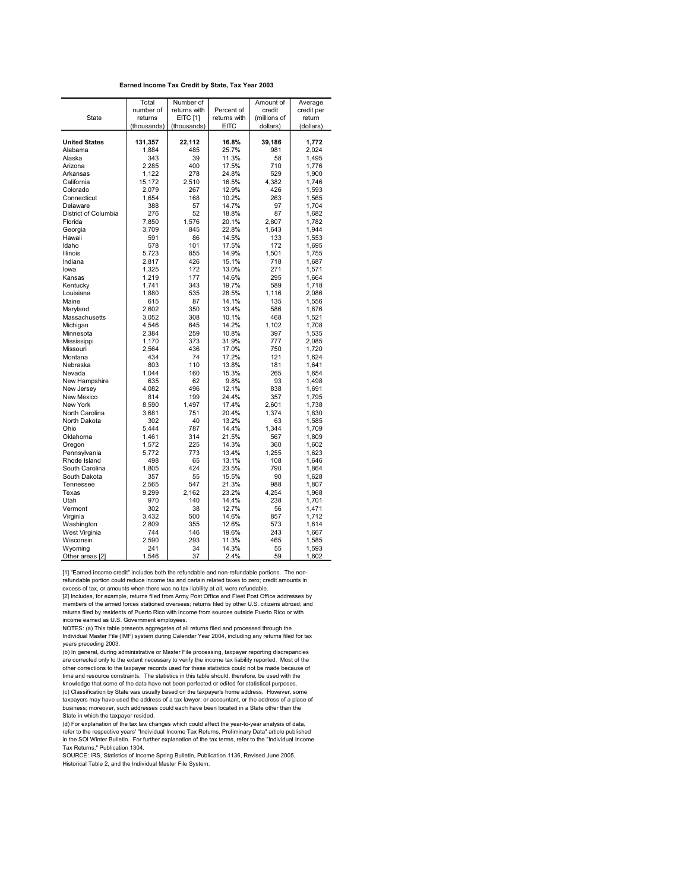|                      | Total       | Number of       |              | Amount of    | Average    |
|----------------------|-------------|-----------------|--------------|--------------|------------|
|                      | number of   | returns with    | Percent of   | credit       | credit per |
| State                | returns     | <b>EITC [1]</b> | returns with | (millions of | return     |
|                      | (thousands) | (thousands)     | <b>EITC</b>  | dollars)     | (dollars)  |
|                      |             |                 |              |              |            |
| <b>United States</b> | 131,357     | 22,112          | 16.8%        | 39,186       | 1,772      |
| Alabama              | 1,884       | 485             | 25.7%        | 981          | 2,024      |
| Alaska               | 343         | 39              | 11.3%        | 58           | 1,495      |
| Arizona              | 2,285       | 400             | 17.5%        | 710          | 1,776      |
| Arkansas             | 1,122       | 278             | 24.8%        | 529          | 1,900      |
| California           | 15,172      | 2,510           | 16.5%        | 4,382        | 1,746      |
| Colorado             | 2,079       | 267             | 12.9%        | 426          | 1,593      |
| Connecticut          | 1,654       | 168             | 10.2%        | 263          | 1,565      |
| Delaware             | 388         | 57              | 14.7%        | 97           | 1,704      |
| District of Columbia | 276         | 52              | 18.8%        | 87           | 1,682      |
| Florida              | 7,850       | 1,576           | 20.1%        | 2,807        | 1,782      |
| Georgia              | 3.709       | 845             | 22.8%        | 1.643        | 1.944      |
| Hawaii               | 591         | 86              | 14.5%        | 133          | 1,553      |
| Idaho                | 578         | 101             | 17.5%        | 172          | 1,695      |
| <b>Illinois</b>      | 5,723       | 855             | 14.9%        | 1,501        | 1,755      |
| Indiana              | 2,817       | 426             | 15.1%        | 718          | 1,687      |
| lowa                 | 1,325       | 172             | 13.0%        | 271          | 1,571      |
| Kansas               | 1,219       | 177             | 14.6%        | 295          | 1,664      |
| Kentucky             | 1,741       | 343             | 19.7%        | 589          | 1,718      |
| Louisiana            | 1,880       | 535             | 28.5%        | 1,116        | 2,086      |
| Maine                | 615         | 87              | 14.1%        | 135          | 1,556      |
| Maryland             | 2.602       | 350             | 13.4%        | 586          | 1,676      |
| Massachusetts        | 3,052       | 308             | 10.1%        | 468          | 1,521      |
| Michigan             | 4,546       | 645             | 14.2%        | 1,102        | 1,708      |
| Minnesota            | 2,384       | 259             | 10.8%        | 397          | 1,535      |
| Mississippi          | 1,170       | 373             | 31.9%        | 777          | 2,085      |
| Missouri             | 2,564       | 436             | 17.0%        | 750          | 1,720      |
| Montana              | 434         | 74              | 17.2%        | 121          | 1,624      |
| Nebraska             | 803         | 110             | 13.8%        | 181          | 1,641      |
| Nevada               | 1.044       | 160             | 15.3%        | 265          | 1,654      |
| New Hampshire        | 635         | 62              | 9.8%         | 93           | 1,498      |
| New Jersey           | 4,082       | 496             | 12.1%        | 838          | 1,691      |
| New Mexico           | 814         | 199             | 24.4%        | 357          | 1,795      |
| New York             | 8,590       | 1,497           | 17.4%        | 2,601        | 1,738      |
| North Carolina       | 3,681       | 751             | 20.4%        | 1,374        | 1,830      |
| North Dakota         | 302         | 40              | 13.2%        | 63           | 1,585      |
| Ohio                 | 5.444       | 787             | 14.4%        | 1,344        | 1,709      |
| Oklahoma             | 1,461       | 314             | 21.5%        | 567          | 1,809      |
| Oregon               | 1,572       | 225             | 14.3%        | 360          | 1,602      |
| Pennsylvania         | 5,772       | 773             | 13.4%        | 1.255        | 1.623      |
| Rhode Island         | 498         | 65              | 13.1%        | 108          | 1,646      |
| South Carolina       | 1.805       | 424             | 23.5%        | 790          | 1,864      |
| South Dakota         | 357         | 55              | 15.5%        | 90           | 1,628      |
| Tennessee            | 2,565       | 547             | 21.3%        | 988          | 1,807      |
| Texas                | 9,299       | 2,162           | 23.2%        | 4,254        | 1,968      |
| Utah                 | 970         | 140             | 14.4%        | 238          | 1,701      |
| Vermont              | 302         | 38              | 12.7%        | 56           | 1.471      |
| Virginia             | 3,432       | 500             | 14.6%        | 857          | 1,712      |
| Washington           | 2.809       | 355             | 12.6%        | 573          | 1,614      |
| West Virginia        | 744         | 146             | 19.6%        | 243          | 1,667      |
| Wisconsin            | 2,590       | 293             | 11.3%        | 465          | 1,585      |
| Wyoming              | 241         | 34              | 14.3%        | 55           | 1,593      |
| Other areas [2]      | 1,546       | 37              | 2.4%         | 59           | 1,602      |

[1] "Earned income credit" includes both the refundable and non-refundable portions. The nonrefundable portion could reduce income tax and certain related taxes to zero; credit amounts in excess of tax, or amounts when there was no tax liability at all, were refundable.

[2] Includes, for example, returns filed from Army Post Office and Fleet Post Office addresses by members of the armed forces stationed overseas; returns filed by other U.S. citizens abroad; and returns filed by residents of Puerto Rico with income from sources outside Puerto Rico or with income earned as U.S. Government employees.

NOTES: (a) This table presents aggregates of all returns filed and processed through the Individual Master File (IMF) system during Calendar Year 2004, including any returns filed for tax years preceding 2003.

(b) In general, during administrative or Master File processing, taxpayer reporting discrepancies are corrected only to the extent necessary to verify the income tax liability reported. Most of the other corrections to the taxpayer records used for these statistics could not be made because of time and resource constraints. The statistics in this table should, therefore, be used with the knowledge that some of the data have not been perfected or edited for statistical purposes. (c) Classification by State was usually based on the taxpayer's home address. However, some taxpayers may have used the address of a tax lawyer, or accountant, or the address of a place of business; moreover, such addresses could each have been located in a State other than the

State in which the taxpayer resided. (d) For explanation of the tax law changes which could affect the year-to-year analysis of data, refer to the respective years' "Individual Income Tax Returns, Preliminary Data" article published in the SOI Winter Bulletin. For further explanation of the tax terms, refer to the "Individual Income

Tax Returns," Publication 1304. SOURCE: IRS, Statistics of Income Spring Bulletin, Publication 1136, Revised June 2005, Historical Table 2, and the Individual Master File System.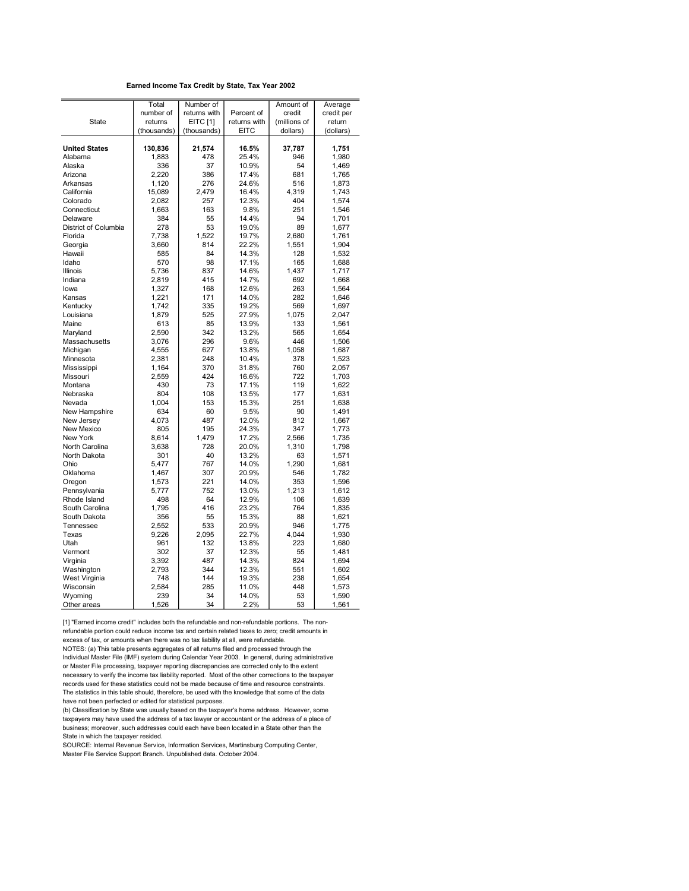|                      | Total       | Number of       |              | Amount of    | Average    |
|----------------------|-------------|-----------------|--------------|--------------|------------|
|                      | number of   | returns with    | Percent of   | credit       | credit per |
| <b>State</b>         | returns     | <b>EITC [1]</b> | returns with | (millions of | return     |
|                      | (thousands) | (thousands)     | <b>EITC</b>  | dollars)     | (dollars)  |
|                      |             |                 |              |              |            |
| <b>United States</b> | 130,836     | 21,574          | 16.5%        | 37,787       | 1.751      |
| Alabama              | 1,883       | 478             | 25.4%        | 946          | 1,980      |
| Alaska               | 336         | 37              | 10.9%        | 54           | 1,469      |
| Arizona              | 2,220       | 386             | 17.4%        | 681          | 1,765      |
| Arkansas             | 1,120       | 276             | 24.6%        | 516          | 1,873      |
| California           | 15,089      | 2,479           | 16.4%        | 4,319        | 1,743      |
| Colorado             | 2.082       | 257             | 12.3%        | 404          | 1,574      |
| Connecticut          | 1.663       | 163             | 9.8%         | 251          | 1,546      |
| Delaware             | 384         | 55              | 14.4%        | 94           | 1,701      |
| District of Columbia | 278         | 53              | 19.0%        | 89           | 1,677      |
| Florida              | 7,738       | 1,522           | 19.7%        | 2,680        | 1,761      |
| Georgia              | 3,660       | 814             | 22.2%        | 1,551        | 1,904      |
| Hawaii               | 585         | 84              | 14.3%        | 128          | 1,532      |
| Idaho                | 570         | 98              | 17.1%        | 165          | 1,688      |
| <b>Illinois</b>      | 5.736       | 837             | 14.6%        | 1.437        | 1,717      |
| Indiana              | 2,819       | 415             | 14.7%        | 692          | 1,668      |
| lowa                 | 1,327       | 168             | 12.6%        | 263          | 1,564      |
| Kansas               | 1,221       | 171             | 14.0%        | 282          | 1,646      |
| Kentucky             | 1,742       | 335             | 19.2%        | 569          | 1,697      |
| Louisiana            | 1,879       | 525             | 27.9%        | 1,075        | 2,047      |
| Maine                | 613         | 85              | 13.9%        | 133          | 1,561      |
| Marvland             | 2.590       | 342             | 13.2%        | 565          | 1.654      |
|                      |             |                 |              |              |            |
| Massachusetts        | 3,076       | 296             | 9.6%         | 446          | 1,506      |
| Michigan             | 4,555       | 627             | 13.8%        | 1,058        | 1,687      |
| Minnesota            | 2,381       | 248             | 10.4%        | 378          | 1,523      |
| Mississippi          | 1,164       | 370             | 31.8%        | 760          | 2,057      |
| Missouri             | 2,559       | 424             | 16.6%        | 722          | 1,703      |
| Montana              | 430         | 73              | 17.1%        | 119          | 1,622      |
| Nebraska             | 804         | 108             | 13.5%        | 177          | 1,631      |
| Nevada               | 1,004       | 153             | 15.3%        | 251          | 1,638      |
| New Hampshire        | 634         | 60              | 9.5%         | 90           | 1,491      |
| New Jersev           | 4.073       | 487             | 12.0%        | 812          | 1.667      |
| New Mexico           | 805         | 195             | 24.3%        | 347          | 1,773      |
| New York             | 8,614       | 1,479           | 17.2%        | 2,566        | 1,735      |
| North Carolina       | 3,638       | 728             | 20.0%        | 1,310        | 1,798      |
| North Dakota         | 301         | 40              | 13.2%        | 63           | 1,571      |
| Ohio                 | 5,477       | 767             | 14.0%        | 1,290        | 1,681      |
| Oklahoma             | 1,467       | 307             | 20.9%        | 546          | 1,782      |
| Oregon               | 1,573       | 221             | 14.0%        | 353          | 1,596      |
| Pennsylvania         | 5,777       | 752             | 13.0%        | 1,213        | 1,612      |
| Rhode Island         | 498         | 64              | 12.9%        | 106          | 1,639      |
| South Carolina       | 1.795       | 416             | 23.2%        | 764          | 1,835      |
| South Dakota         | 356         | 55              | 15.3%        | 88           | 1,621      |
| Tennessee            | 2,552       | 533             | 20.9%        | 946          | 1,775      |
| Texas                | 9,226       | 2,095           | 22.7%        | 4,044        | 1,930      |
| Utah                 | 961         | 132             | 13.8%        | 223          | 1.680      |
| Vermont              | 302         | 37              | 12.3%        | 55           | 1,481      |
| Virginia             | 3,392       | 487             | 14.3%        | 824          | 1,694      |
| Washington           | 2.793       | 344             | 12.3%        | 551          | 1,602      |
| West Virginia        | 748         | 144             | 19.3%        | 238          | 1,654      |
| Wisconsin            | 2,584       | 285             | 11.0%        | 448          | 1,573      |
| Wyoming              | 239         | 34              | 14.0%        | 53           | 1,590      |
| Other areas          | 1,526       | 34              | 2.2%         | 53           | 1,561      |
|                      |             |                 |              |              |            |

[1] "Earned income credit" includes both the refundable and non-refundable portions. The nonrefundable portion could reduce income tax and certain related taxes to zero; credit amounts in excess of tax, or amounts when there was no tax liability at all, were refundable. NOTES: (a) This table presents aggregates of all returns filed and processed through the Individual Master File (IMF) system during Calendar Year 2003. In general, during administrative or Master File processing, taxpayer reporting discrepancies are corrected only to the extent necessary to verify the income tax liability reported. Most of the other corrections to the taxpayer records used for these statistics could not be made because of time and resource constraints. The statistics in this table should, therefore, be used with the knowledge that some of the data have not been perfected or edited for statistical purposes.

(b) Classification by State was usually based on the taxpayer's home address. However, some taxpayers may have used the address of a tax lawyer or accountant or the address of a place of business; moreover, such addresses could each have been located in a State other than the State in which the taxpayer resided.

SOURCE: Internal Revenue Service, Information Services, Martinsburg Computing Center, Master File Service Support Branch. Unpublished data. October 2004.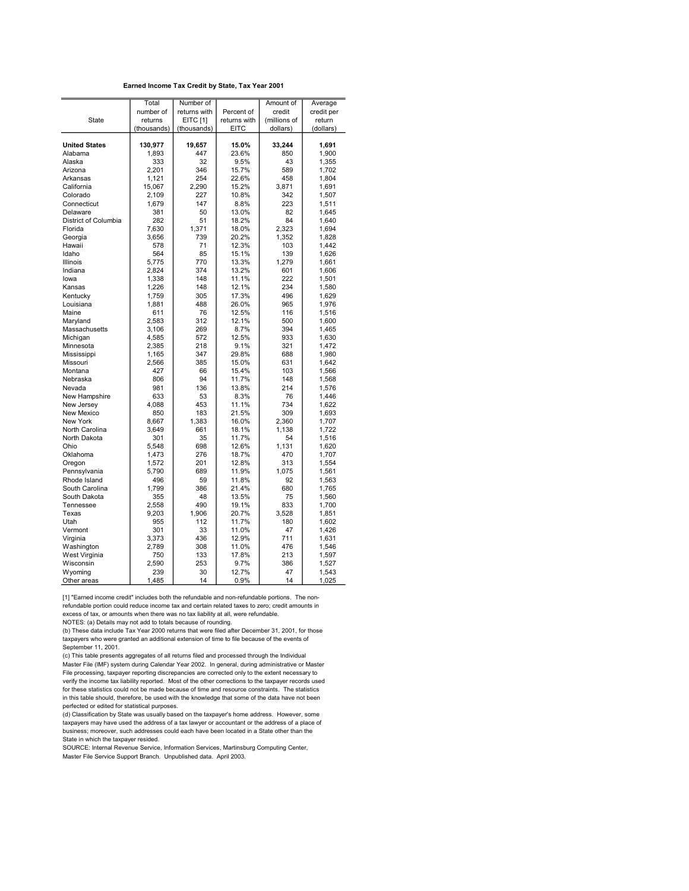|                      | Total       | Number of       |              | Amount of    |                       |
|----------------------|-------------|-----------------|--------------|--------------|-----------------------|
|                      | number of   | returns with    | Percent of   | credit       | Average<br>credit per |
| State                | returns     | <b>EITC [1]</b> | returns with | (millions of | return                |
|                      |             |                 | <b>EITC</b>  |              |                       |
|                      | (thousands) | (thousands)     |              | dollars)     | (dollars)             |
| <b>United States</b> | 130,977     | 19,657          | 15.0%        | 33,244       | 1,691                 |
| Alabama              | 1,893       | 447             | 23.6%        | 850          | 1,900                 |
| Alaska               | 333         | 32              | 9.5%         | 43           | 1,355                 |
| Arizona              | 2,201       | 346             | 15.7%        | 589          | 1,702                 |
| Arkansas             | 1,121       | 254             | 22.6%        | 458          | 1,804                 |
| California           | 15,067      | 2,290           | 15.2%        | 3,871        | 1,691                 |
| Colorado             | 2,109       | 227             | 10.8%        | 342          | 1,507                 |
| Connecticut          | 1.679       | 147             | 8.8%         | 223          | 1.511                 |
| Delaware             | 381         | 50              | 13.0%        | 82           | 1,645                 |
| District of Columbia | 282         | 51              | 18.2%        | 84           | 1,640                 |
| Florida              | 7.630       | 1,371           | 18.0%        | 2,323        | 1,694                 |
| Georgia              | 3,656       | 739             | 20.2%        | 1,352        | 1,828                 |
| Hawaii               | 578         | 71              | 12.3%        | 103          | 1,442                 |
| Idaho                | 564         | 85              | 15.1%        | 139          | 1,626                 |
| <b>Illinois</b>      | 5,775       | 770             | 13.3%        | 1,279        | 1,661                 |
| Indiana              | 2,824       | 374             | 13.2%        | 601          | 1,606                 |
| lowa                 | 1,338       | 148             | 11.1%        | 222          | 1,501                 |
| Kansas               | 1,226       | 148             | 12.1%        | 234          | 1,580                 |
| Kentucky             | 1,759       | 305             | 17.3%        | 496          | 1,629                 |
| Louisiana            | 1,881       | 488             | 26.0%        | 965          | 1,976                 |
| Maine                | 611         | 76              | 12.5%        | 116          | 1,516                 |
| Maryland             | 2,583       | 312             | 12.1%        | 500          | 1,600                 |
| Massachusetts        | 3,106       | 269             | 8.7%         | 394          | 1,465                 |
| Michigan             | 4,585       | 572             | 12.5%        | 933          | 1,630                 |
| Minnesota            | 2,385       | 218             | 9.1%         | 321          | 1,472                 |
| Mississippi          | 1,165       | 347             | 29.8%        | 688          | 1,980                 |
| Missouri             | 2,566       | 385             | 15.0%        | 631          | 1,642                 |
| Montana              | 427         | 66              | 15.4%        | 103          | 1,566                 |
| Nebraska             | 806         | 94              | 11.7%        | 148          | 1,568                 |
| Nevada               | 981         | 136             | 13.8%        | 214          | 1,576                 |
| New Hampshire        | 633         | 53              | 8.3%         | 76           | 1,446                 |
| New Jersey           | 4,088       | 453             | 11.1%        | 734          | 1,622                 |
| New Mexico           | 850         | 183             | 21.5%        | 309          | 1,693                 |
| New York             | 8,667       | 1,383           | 16.0%        | 2,360        | 1,707                 |
| North Carolina       | 3,649       | 661             | 18.1%        | 1,138        | 1,722                 |
| North Dakota         | 301         | 35              | 11.7%        | 54           | 1,516                 |
| Ohio                 | 5.548       | 698             | 12.6%        | 1,131        | 1,620                 |
| Oklahoma             | 1,473       | 276             | 18.7%        | 470          | 1,707                 |
| Oregon               | 1,572       | 201             | 12.8%        | 313          | 1,554                 |
| Pennsylvania         | 5,790       | 689             | 11.9%        | 1,075        | 1,561                 |
| Rhode Island         | 496         | 59              | 11.8%        | 92           | 1,563                 |
| South Carolina       | 1.799       | 386             | 21.4%        | 680          | 1,765                 |
| South Dakota         | 355         | 48              | 13.5%        | 75           | 1,560                 |
| Tennessee            | 2,558       | 490             | 19.1%        | 833          | 1,700                 |
| Texas                | 9,203       | 1,906           | 20.7%        | 3,528        | 1,851                 |
| Utah                 | 955         | 112             | 11.7%        | 180          | 1,602                 |
| Vermont              | 301         | 33              | 11.0%        | 47           | 1,426                 |
| Virginia             | 3,373       | 436             | 12.9%        | 711          | 1,631                 |
| Washington           | 2,789       | 308             | 11.0%        | 476          | 1,546                 |
| West Virginia        | 750         | 133             | 17.8%        | 213          | 1,597                 |
| Wisconsin            | 2,590       | 253             | 9.7%         | 386          | 1,527                 |
| Wyoming              | 239         | 30              | 12.7%        | 47           | 1,543                 |
| Other areas          | 1,485       | 14              | 0.9%         | 14           | 1,025                 |

[1] "Earned income credit" includes both the refundable and non-refundable portions. The nonrefundable portion could reduce income tax and certain related taxes to zero; credit amounts in excess of tax, or amounts when there was no tax liability at all, were refundable.

NOTES: (a) Details may not add to totals because of rounding.

(b) These data include Tax Year 2000 returns that were filed after December 31, 2001, for those taxpayers who were granted an additional extension of time to file because of the events of September 11, 2001.

(c) This table presents aggregates of all returns filed and processed through the Individual Master File (IMF) system during Calendar Year 2002. In general, during administrative or Master File processing, taxpayer reporting discrepancies are corrected only to the extent necessary to verify the income tax liability reported. Most of the other corrections to the taxpayer records used for these statistics could not be made because of time and resource constraints. The statistics in this table should, therefore, be used with the knowledge that some of the data have not been perfected or edited for statistical purposes.

(d) Classification by State was usually based on the taxpayer's home address. However, some taxpayers may have used the address of a tax lawyer or accountant or the address of a place of business; moreover, such addresses could each have been located in a State other than the State in which the taxpayer resided.

SOURCE: Internal Revenue Service, Information Services, Martinsburg Computing Center, Master File Service Support Branch. Unpublished data. April 2003.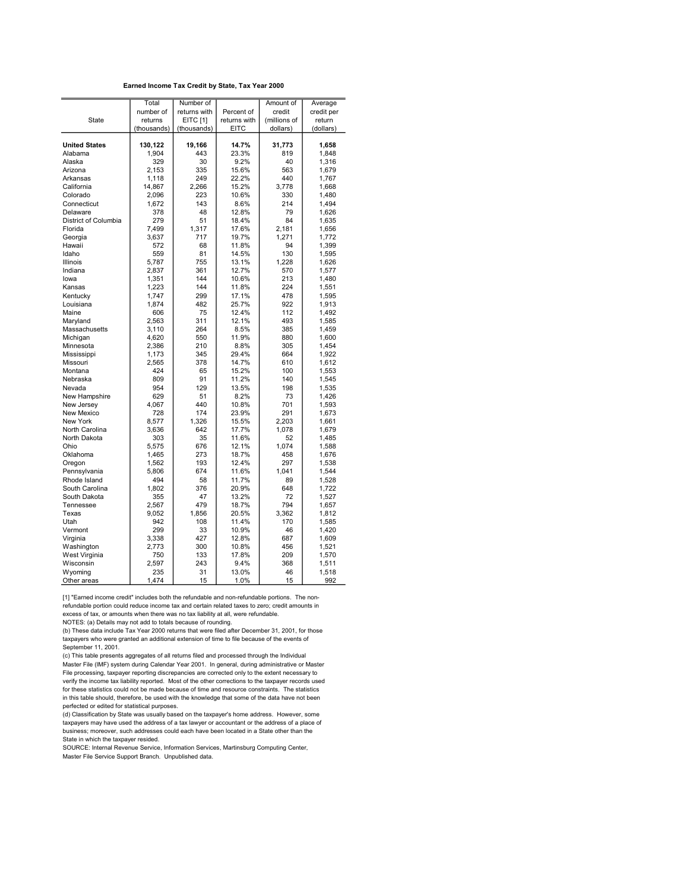|                        | Total          | Number of    |              | Amount of    | Average        |
|------------------------|----------------|--------------|--------------|--------------|----------------|
|                        | number of      | returns with | Percent of   | credit       | credit per     |
| State                  | returns        | EITC [1]     | returns with | (millions of | return         |
|                        | (thousands)    | (thousands)  | <b>EITC</b>  | dollars)     | (dollars)      |
|                        |                |              |              |              |                |
| <b>United States</b>   | 130,122        | 19,166       | 14.7%        | 31,773       | 1,658          |
| Alabama                | 1,904          | 443          | 23.3%        | 819          | 1,848          |
| Alaska                 | 329            | 30           | 9.2%         | 40           | 1,316          |
| Arizona                | 2,153          | 335          | 15.6%        | 563          | 1,679          |
| Arkansas               | 1,118          | 249          | 22.2%        | 440          | 1,767          |
| California             | 14,867         | 2,266        | 15.2%        | 3,778        | 1,668          |
| Colorado               | 2,096          | 223          | 10.6%        | 330          | 1,480          |
| Connecticut            | 1.672          | 143          | 8.6%         | 214          | 1.494          |
| Delaware               | 378            | 48           | 12.8%        | 79           | 1,626          |
| District of Columbia   | 279            | 51           | 18.4%        | 84           | 1,635          |
| Florida                | 7,499          | 1,317        | 17.6%        | 2,181        | 1,656          |
| Georgia                | 3,637          | 717          | 19.7%        | 1,271        | 1,772          |
| Hawaii                 | 572            | 68           | 11.8%        | 94           | 1,399          |
| Idaho                  | 559            | 81           | 14.5%        | 130          | 1,595          |
| <b>Illinois</b>        | 5,787          | 755          | 13.1%        | 1,228        | 1,626          |
| Indiana                | 2,837          | 361          | 12.7%        | 570          | 1,577          |
| lowa                   | 1,351          | 144          | 10.6%        | 213          | 1,480          |
| Kansas                 | 1,223          | 144          | 11.8%        | 224          | 1,551          |
| Kentucky               | 1,747          | 299          | 17.1%        | 478          | 1,595          |
| Louisiana              | 1,874          | 482          | 25.7%        | 922          | 1,913          |
| Maine                  | 606            | 75           | 12.4%        | 112          | 1.492          |
| Maryland               | 2,563          | 311          | 12.1%        | 493          | 1,585          |
| Massachusetts          | 3,110          | 264          | 8.5%         | 385          | 1,459          |
| Michigan               | 4,620          | 550          | 11.9%        | 880          | 1,600          |
| Minnesota              | 2,386          | 210          | 8.8%         | 305          | 1,454          |
| Mississippi            | 1,173          | 345          | 29.4%        | 664          | 1,922          |
| Missouri               | 2,565          | 378          | 14.7%        | 610          | 1,612          |
| Montana                | 424            | 65           | 15.2%        | 100          | 1,553          |
| Nebraska               | 809            | 91           | 11.2%        | 140          | 1,545          |
| Nevada                 | 954            | 129          | 13.5%        | 198          | 1,535          |
|                        |                | 51           | 8.2%         | 73           |                |
| New Hampshire          | 629<br>4.067   | 440          | 10.8%        | 701          | 1,426          |
| New Jersey             | 728            | 174          | 23.9%        | 291          | 1,593          |
| New Mexico<br>New York |                |              | 15.5%        | 2,203        | 1,673          |
| North Carolina         | 8,577<br>3,636 | 1,326<br>642 | 17.7%        | 1,078        | 1,661<br>1,679 |
| North Dakota           |                | 35           |              |              |                |
|                        | 303            |              | 11.6%        | 52           | 1,485          |
| Ohio                   | 5,575          | 676          | 12.1%        | 1,074        | 1,588          |
| Oklahoma               | 1,465          | 273          | 18.7%        | 458          | 1,676          |
| Oregon                 | 1,562          | 193          | 12.4%        | 297          | 1,538          |
| Pennsylvania           | 5,806          | 674          | 11.6%        | 1.041        | 1.544          |
| Rhode Island           | 494            | 58           | 11.7%        | 89           | 1,528          |
| South Carolina         | 1,802          | 376          | 20.9%        | 648          | 1,722          |
| South Dakota           | 355            | 47           | 13.2%        | 72           | 1,527          |
| Tennessee              | 2,567          | 479          | 18.7%        | 794          | 1,657          |
| Texas                  | 9,052          | 1,856        | 20.5%        | 3,362        | 1,812          |
| Utah                   | 942            | 108          | 11.4%        | 170          | 1.585          |
| Vermont                | 299            | 33           | 10.9%        | 46           | 1,420          |
| Virginia               | 3,338          | 427          | 12.8%        | 687          | 1,609          |
| Washington             | 2,773          | 300          | 10.8%        | 456          | 1,521          |
| West Virginia          | 750            | 133          | 17.8%        | 209          | 1,570          |
| Wisconsin              | 2,597          | 243          | 9.4%         | 368          | 1,511          |
| Wyoming                | 235            | 31           | 13.0%        | 46           | 1,518          |
| Other areas            | 1,474          | 15           | 1.0%         | 15           | 992            |

[1] "Earned income credit" includes both the refundable and non-refundable portions. The nonrefundable portion could reduce income tax and certain related taxes to zero; credit amounts in excess of tax, or amounts when there was no tax liability at all, were refundable.

NOTES: (a) Details may not add to totals because of rounding.

(b) These data include Tax Year 2000 returns that were filed after December 31, 2001, for those taxpayers who were granted an additional extension of time to file because of the events of September 11, 2001.

(c) This table presents aggregates of all returns filed and processed through the Individual Master File (IMF) system during Calendar Year 2001. In general, during administrative or Master File processing, taxpayer reporting discrepancies are corrected only to the extent necessary to verify the income tax liability reported. Most of the other corrections to the taxpayer records used for these statistics could not be made because of time and resource constraints. The statistics in this table should, therefore, be used with the knowledge that some of the data have not been perfected or edited for statistical purposes.

(d) Classification by State was usually based on the taxpayer's home address. However, some taxpayers may have used the address of a tax lawyer or accountant or the address of a place of business; moreover, such addresses could each have been located in a State other than the State in which the taxpayer resided.

SOURCE: Internal Revenue Service, Information Services, Martinsburg Computing Center, Master File Service Support Branch. Unpublished data.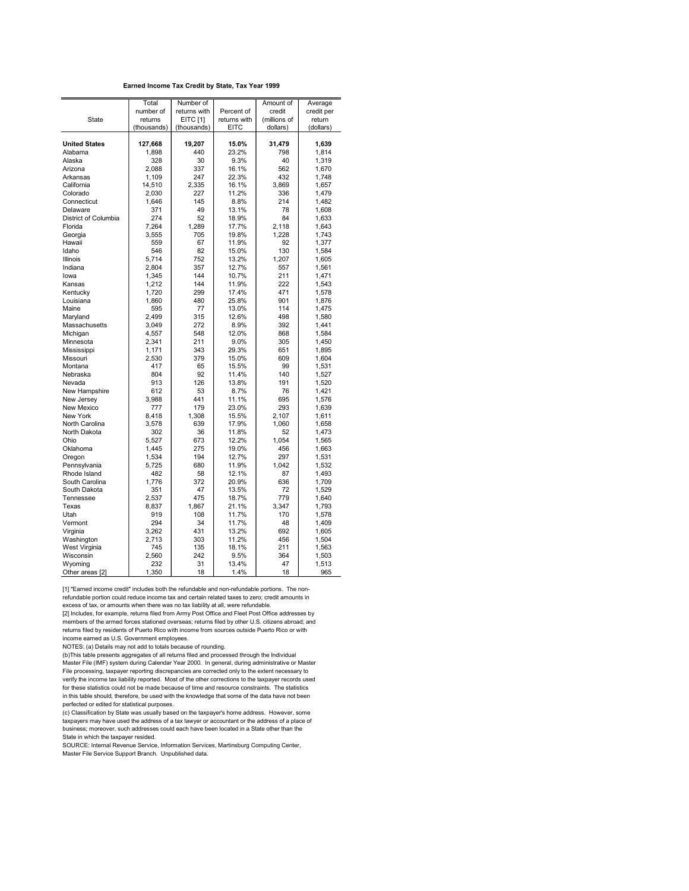|                          | Total        | Number of       |                | Amount of      | Average        |
|--------------------------|--------------|-----------------|----------------|----------------|----------------|
|                          | number of    | returns with    | Percent of     | credit         | credit per     |
| <b>State</b>             | returns      | <b>EITC [1]</b> | returns with   | (millions of   | return         |
|                          | (thousands)  | (thousands)     | <b>EITC</b>    | dollars)       | (dollars)      |
|                          |              |                 |                |                |                |
| <b>United States</b>     | 127,668      | 19,207          | 15.0%<br>23.2% | 31,479<br>798  | 1.639          |
| Alabama<br>Alaska        | 1.898<br>328 | 440<br>30       | 9.3%           | 40             | 1.814<br>1,319 |
| Arizona                  | 2,088        | 337             | 16.1%          | 562            | 1,670          |
| Arkansas                 | 1,109        | 247             | 22.3%          | 432            | 1,748          |
| California               | 14,510       | 2,335           | 16.1%          | 3,869          | 1,657          |
| Colorado                 | 2,030        | 227             | 11.2%          | 336            | 1,479          |
| Connecticut              | 1,646        | 145             | 8.8%           | 214            | 1,482          |
| Delaware                 | 371          | 49              | 13.1%          | 78             | 1,608          |
| District of Columbia     | 274          | 52              | 18.9%          | 84             | 1,633          |
| Florida                  | 7,264        | 1,289           | 17.7%          | 2,118          | 1,643          |
| Georgia                  | 3,555        | 705             | 19.8%          | 1,228          | 1,743          |
| Hawaii                   | 559          | 67              | 11.9%          | 92             | 1,377          |
| Idaho                    | 546          | 82              | 15.0%          | 130            | 1,584          |
| <b>Illinois</b>          | 5,714        | 752             | 13.2%          | 1,207          | 1,605          |
| Indiana                  | 2,804        | 357             | 12.7%          | 557            | 1,561          |
| lowa                     | 1.345        | 144             | 10.7%          | 211            | 1.471          |
| Kansas                   | 1,212        | 144             | 11.9%          | 222            | 1.543          |
| Kentuckv                 | 1.720        | 299             | 17.4%          | 471            | 1.578          |
| Louisiana                | 1,860        | 480             | 25.8%          | 901            | 1,876          |
| Maine                    | 595          | 77              | 13.0%          | 114            | 1,475          |
| Maryland                 | 2,499        | 315             | 12.6%          | 498            | 1,580          |
| Massachusetts            | 3,049        | 272             | 8.9%           | 392            | 1,441          |
| Michigan                 | 4,557        | 548             | 12.0%          | 868            | 1,584          |
| Minnesota                | 2,341        | 211             | 9.0%           | 305            | 1,450          |
| Mississippi              | 1,171        | 343             | 29.3%          | 651            | 1,895          |
| Missouri                 | 2,530        | 379             | 15.0%          | 609            | 1,604          |
| Montana                  | 417          | 65              | 15.5%          | 99             | 1,531          |
| Nebraska                 | 804          | 92              | 11.4%          | 140            | 1,527          |
| Nevada                   | 913          | 126             | 13.8%          | 191            | 1,520          |
| New Hampshire            | 612          | 53<br>441       | 8.7%           | 76             | 1,421          |
| New Jersey<br>New Mexico | 3,988<br>777 | 179             | 11.1%<br>23.0% | 695<br>293     | 1,576          |
| New York                 | 8.418        | 1,308           | 15.5%          |                | 1,639<br>1,611 |
| North Carolina           | 3.578        | 639             | 17.9%          | 2,107<br>1.060 | 1.658          |
| North Dakota             | 302          | 36              | 11.8%          | 52             | 1,473          |
| Ohio                     | 5.527        | 673             | 12.2%          | 1,054          | 1,565          |
| Oklahoma                 | 1,445        | 275             | 19.0%          | 456            | 1,663          |
| Oregon                   | 1,534        | 194             | 12.7%          | 297            | 1,531          |
| Pennsylvania             | 5,725        | 680             | 11.9%          | 1,042          | 1,532          |
| Rhode Island             | 482          | 58              | 12.1%          | 87             | 1,493          |
| South Carolina           | 1,776        | 372             | 20.9%          | 636            | 1,709          |
| South Dakota             | 351          | 47              | 13.5%          | 72             | 1,529          |
| Tennessee                | 2.537        | 475             | 18.7%          | 779            | 1,640          |
| Texas                    | 8,837        | 1,867           | 21.1%          | 3,347          | 1,793          |
| Utah                     | 919          | 108             | 11.7%          | 170            | 1,578          |
| Vermont                  | 294          | 34              | 11.7%          | 48             | 1,409          |
| Virginia                 | 3,262        | 431             | 13.2%          | 692            | 1,605          |
| Washington               | 2,713        | 303             | 11.2%          | 456            | 1,504          |
| West Virginia            | 745          | 135             | 18.1%          | 211            | 1,563          |
| Wisconsin                | 2,560        | 242             | 9.5%           | 364            | 1,503          |
| Wyoming                  | 232          | 31              | 13.4%          | 47             | 1,513          |
| Other areas [2]          | 1,350        | 18              | 1.4%           | 18             | 965            |

[1] "Earned income credit" includes both the refundable and non-refundable portions. The nonrefundable portion could reduce income tax and certain related taxes to zero; credit amounts in excess of tax, or amounts when there was no tax liability at all, were refundable.

[2] Includes, for example, returns filed from Army Post Office and Fleet Post Office addresses by members of the armed forces stationed overseas; returns filed by other U.S. citizens abroad; and returns filed by residents of Puerto Rico with income from sources outside Puerto Rico or with income earned as U.S. Government employees.

NOTES: (a) Details may not add to totals because of rounding.

(b)This table presents aggregates of all returns filed and processed through the Individual Master File (IMF) system during Calendar Year 2000. In general, during administrative or Master File processing, taxpayer reporting discrepancies are corrected only to the extent necessary to verify the income tax liability reported. Most of the other corrections to the taxpayer records used for these statistics could not be made because of time and resource constraints. The statistics in this table should, therefore, be used with the knowledge that some of the data have not been perfected or edited for statistical purposes.

(c) Classification by State was usually based on the taxpayer's home address. However, some taxpayers may have used the address of a tax lawyer or accountant or the address of a place of business; moreover, such addresses could each have been located in a State other than the State in which the taxpayer resided.

SOURCE: Internal Revenue Service, Information Services, Martinsburg Computing Center, Master File Service Support Branch. Unpublished data.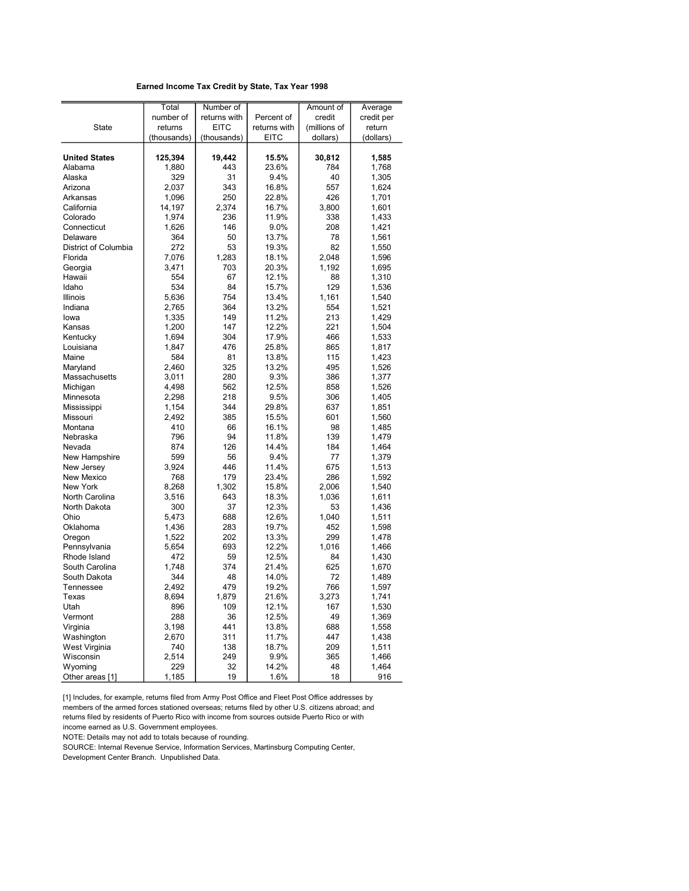|                      | Total       | Number of    |              | Amount of    | Average    |
|----------------------|-------------|--------------|--------------|--------------|------------|
|                      | number of   | returns with | Percent of   | credit       | credit per |
| <b>State</b>         | returns     | <b>EITC</b>  | returns with | (millions of | return     |
|                      | (thousands) | (thousands)  | <b>EITC</b>  | dollars)     | (dollars)  |
|                      |             |              |              |              |            |
| <b>United States</b> | 125,394     | 19,442       | 15.5%        | 30,812       | 1,585      |
| Alabama              | 1,880       | 443          | 23.6%        | 784          | 1,768      |
| Alaska               | 329         | 31           | 9.4%         | 40           | 1,305      |
| Arizona              | 2,037       | 343          | 16.8%        | 557          | 1,624      |
| Arkansas             | 1,096       | 250          | 22.8%        | 426          | 1,701      |
| California           | 14,197      | 2,374        | 16.7%        | 3,800        | 1,601      |
| Colorado             | 1,974       | 236          | 11.9%        | 338          | 1,433      |
| Connecticut          | 1,626       | 146          | 9.0%         | 208          | 1,421      |
| Delaware             | 364         | 50           | 13.7%        | 78           | 1,561      |
| District of Columbia | 272         | 53           | 19.3%        | 82           | 1,550      |
| Florida              | 7,076       | 1,283        | 18.1%        | 2,048        | 1,596      |
| Georgia              | 3,471       | 703          | 20.3%        | 1,192        | 1,695      |
| Hawaii               | 554         | 67           | 12.1%        | 88           | 1,310      |
| Idaho                | 534         | 84           | 15.7%        | 129          | 1,536      |
| <b>Illinois</b>      | 5,636       | 754          | 13.4%        | 1,161        | 1,540      |
| Indiana              | 2,765       | 364          | 13.2%        | 554          | 1,521      |
| lowa                 | 1,335       | 149          | 11.2%        | 213          | 1,429      |
| Kansas               | 1,200       | 147          | 12.2%        | 221          | 1,504      |
| Kentucky             | 1,694       | 304          | 17.9%        | 466          | 1,533      |
| Louisiana            | 1,847       | 476          | 25.8%        | 865          | 1,817      |
| Maine                | 584         | 81           | 13.8%        | 115          | 1,423      |
| Maryland             | 2.460       | 325          | 13.2%        | 495          | 1,526      |
| Massachusetts        | 3,011       | 280          | 9.3%         | 386          | 1,377      |
| Michigan             | 4,498       | 562          | 12.5%        | 858          | 1,526      |
| Minnesota            | 2,298       | 218          | 9.5%         | 306          | 1,405      |
| Mississippi          | 1,154       | 344          | 29.8%        | 637          | 1,851      |
| Missouri             | 2,492       | 385          | 15.5%        | 601          | 1,560      |
| Montana              | 410         | 66           | 16.1%        | 98           | 1,485      |
| Nebraska             | 796         | 94           | 11.8%        | 139          | 1,479      |
| Nevada               | 874         | 126          | 14.4%        | 184          | 1,464      |
| New Hampshire        | 599         | 56           | 9.4%         | 77           | 1,379      |
| New Jersey           | 3,924       | 446          | 11.4%        | 675          | 1,513      |
| New Mexico           | 768         | 179          | 23.4%        | 286          | 1,592      |
| New York             | 8,268       | 1,302        | 15.8%        | 2,006        | 1,540      |
| North Carolina       | 3,516       | 643          | 18.3%        | 1,036        | 1,611      |
| North Dakota         | 300         | 37           | 12.3%        | 53           | 1,436      |
| Ohio                 | 5,473       | 688          | 12.6%        | 1,040        | 1,511      |
| Oklahoma             | 1,436       | 283          | 19.7%        | 452          | 1,598      |
| Oregon               | 1,522       | 202          | 13.3%        | 299          | 1,478      |
| Pennsylvania         | 5,654       | 693          | 12.2%        | 1,016        | 1,466      |
| Rhode Island         | 472         | 59           | 12.5%        | 84           | 1,430      |
| South Carolina       | 1,748       | 374          | 21.4%        | 625          | 1,670      |
| South Dakota         | 344         | 48           | 14.0%        | 72           | 1,489      |
| <b>Tennessee</b>     | 2,492       | 479          | 19.2%        | 766          | 1,597      |
| Texas                | 8,694       | 1,879        | 21.6%        | 3,273        | 1,741      |
| Utah                 | 896         | 109          | 12.1%        | 167          | 1,530      |
| Vermont              | 288         | 36           | 12.5%        | 49           | 1,369      |
|                      | 3,198       | 441          | 13.8%        | 688          |            |
| Virginia             |             |              |              |              | 1,558      |
| Washington           | 2,670       | 311          | 11.7%        | 447          | 1,438      |
| West Virginia        | 740         | 138          | 18.7%        | 209          | 1,511      |
| Wisconsin            | 2,514       | 249          | 9.9%         | 365          | 1,466      |
| Wyoming              | 229         | 32           | 14.2%        | 48           | 1,464      |
| Other areas [1]      | 1,185       | 19           | 1.6%         | 18           | 916        |

[1] Includes, for example, returns filed from Army Post Office and Fleet Post Office addresses by members of the armed forces stationed overseas; returns filed by other U.S. citizens abroad; and returns filed by residents of Puerto Rico with income from sources outside Puerto Rico or with income earned as U.S. Government employees.

NOTE: Details may not add to totals because of rounding.

SOURCE: Internal Revenue Service, Information Services, Martinsburg Computing Center,

Development Center Branch. Unpublished Data.